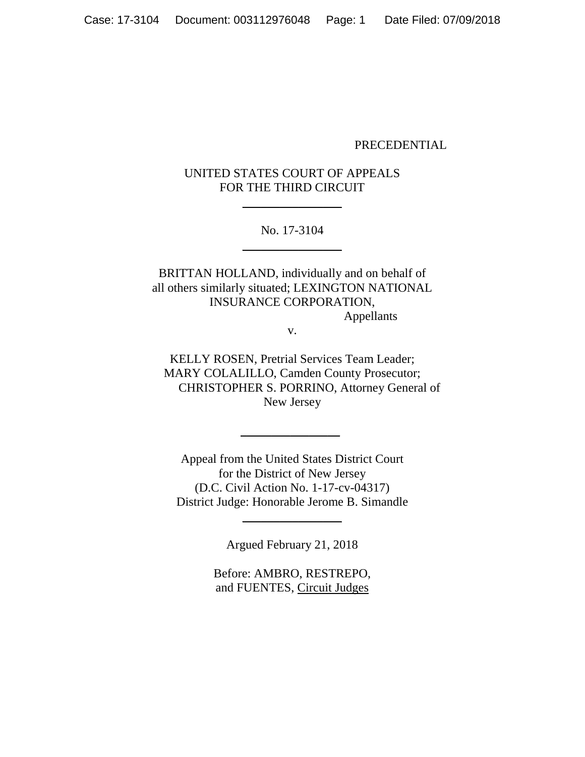#### PRECEDENTIAL

# UNITED STATES COURT OF APPEALS FOR THE THIRD CIRCUIT

 $\overline{\phantom{a}}$  , where  $\overline{\phantom{a}}$ 

No. 17-3104 \_\_\_\_\_\_\_\_\_\_\_\_\_\_\_\_

BRITTAN HOLLAND, individually and on behalf of all others similarly situated; LEXINGTON NATIONAL INSURANCE CORPORATION, Appellants

v.

KELLY ROSEN, Pretrial Services Team Leader; MARY COLALILLO, Camden County Prosecutor; CHRISTOPHER S. PORRINO, Attorney General of New Jersey

Appeal from the United States District Court for the District of New Jersey (D.C. Civil Action No. 1-17-cv-04317) District Judge: Honorable Jerome B. Simandle

\_\_\_\_\_\_\_\_\_\_\_\_\_\_\_\_

Argued February 21, 2018

 $\overline{\phantom{a}}$  , where  $\overline{\phantom{a}}$ 

Before: AMBRO, RESTREPO, and FUENTES, Circuit Judges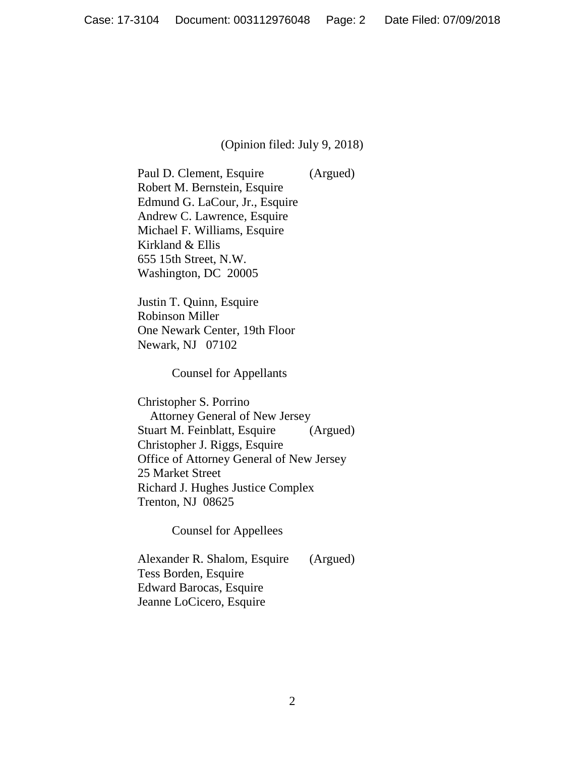### (Opinion filed: July 9, 2018)

Paul D. Clement, Esquire (Argued) Robert M. Bernstein, Esquire Edmund G. LaCour, Jr., Esquire Andrew C. Lawrence, Esquire Michael F. Williams, Esquire Kirkland & Ellis 655 15th Street, N.W. Washington, DC 20005

Justin T. Quinn, Esquire Robinson Miller One Newark Center, 19th Floor Newark, NJ 07102

Counsel for Appellants

Christopher S. Porrino Attorney General of New Jersey Stuart M. Feinblatt, Esquire (Argued) Christopher J. Riggs, Esquire Office of Attorney General of New Jersey 25 Market Street Richard J. Hughes Justice Complex Trenton, NJ 08625

Counsel for Appellees

Alexander R. Shalom, Esquire (Argued) Tess Borden, Esquire Edward Barocas, Esquire Jeanne LoCicero, Esquire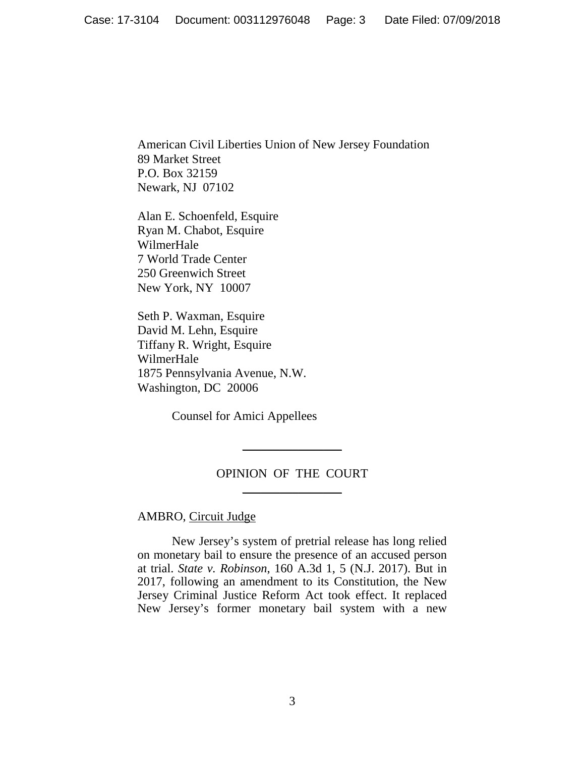American Civil Liberties Union of New Jersey Foundation 89 Market Street P.O. Box 32159 Newark, NJ 07102

Alan E. Schoenfeld, Esquire Ryan M. Chabot, Esquire WilmerHale 7 World Trade Center 250 Greenwich Street New York, NY 10007

Seth P. Waxman, Esquire David M. Lehn, Esquire Tiffany R. Wright, Esquire WilmerHale 1875 Pennsylvania Avenue, N.W. Washington, DC 20006

Counsel for Amici Appellees

# OPINION OF THE COURT \_\_\_\_\_\_\_\_\_\_\_\_\_\_\_\_

\_\_\_\_\_\_\_\_\_\_\_\_\_\_\_\_

## AMBRO, Circuit Judge

New Jersey's system of pretrial release has long relied on monetary bail to ensure the presence of an accused person at trial. *State v. Robinson*, 160 A.3d 1, 5 (N.J. 2017). But in 2017, following an amendment to its Constitution, the New Jersey Criminal Justice Reform Act took effect. It replaced New Jersey's former monetary bail system with a new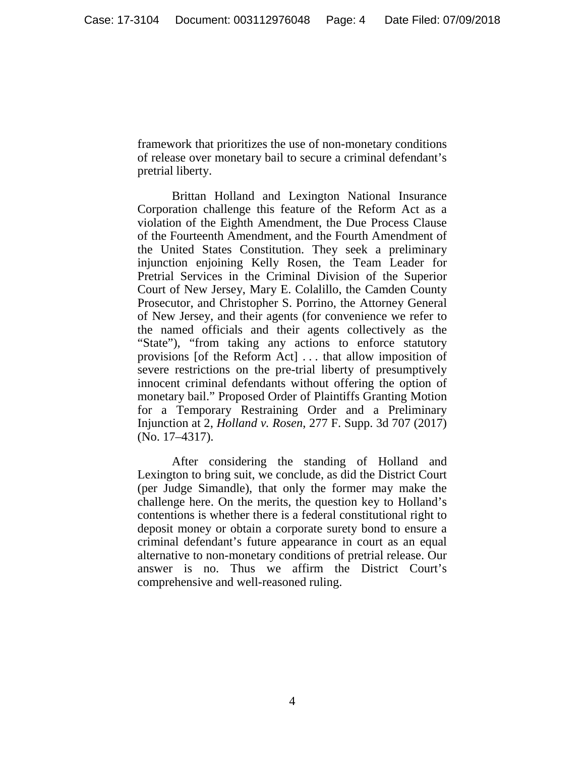framework that prioritizes the use of non-monetary conditions of release over monetary bail to secure a criminal defendant's pretrial liberty.

Brittan Holland and Lexington National Insurance Corporation challenge this feature of the Reform Act as a violation of the Eighth Amendment, the Due Process Clause of the Fourteenth Amendment, and the Fourth Amendment of the United States Constitution. They seek a preliminary injunction enjoining Kelly Rosen, the Team Leader for Pretrial Services in the Criminal Division of the Superior Court of New Jersey, Mary E. Colalillo, the Camden County Prosecutor, and Christopher S. Porrino, the Attorney General of New Jersey, and their agents (for convenience we refer to the named officials and their agents collectively as the "State"), "from taking any actions to enforce statutory provisions [of the Reform Act] . . . that allow imposition of severe restrictions on the pre-trial liberty of presumptively innocent criminal defendants without offering the option of monetary bail." Proposed Order of Plaintiffs Granting Motion for a Temporary Restraining Order and a Preliminary Injunction at 2, *Holland v. Rosen*, 277 F. Supp. 3d 707 (2017) (No. 17–4317).

After considering the standing of Holland and Lexington to bring suit, we conclude, as did the District Court (per Judge Simandle), that only the former may make the challenge here. On the merits, the question key to Holland's contentions is whether there is a federal constitutional right to deposit money or obtain a corporate surety bond to ensure a criminal defendant's future appearance in court as an equal alternative to non-monetary conditions of pretrial release. Our answer is no. Thus we affirm the District Court's comprehensive and well-reasoned ruling.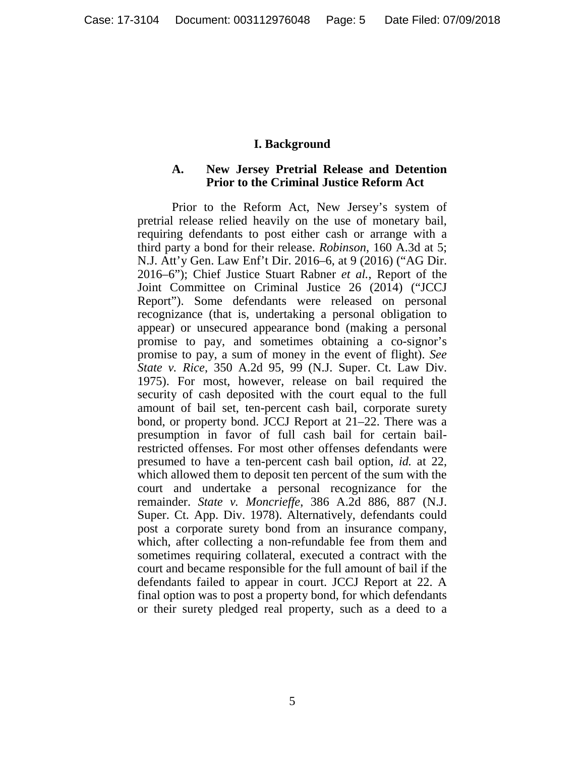### **I. Background**

#### **A. New Jersey Pretrial Release and Detention Prior to the Criminal Justice Reform Act**

Prior to the Reform Act, New Jersey's system of pretrial release relied heavily on the use of monetary bail, requiring defendants to post either cash or arrange with a third party a bond for their release. *Robinson*, 160 A.3d at 5; N.J. Att'y Gen. Law Enf't Dir. 2016–6, at 9 (2016) ("AG Dir. 2016–6"); Chief Justice Stuart Rabner *et al.*, Report of the Joint Committee on Criminal Justice 26 (2014) ("JCCJ Report"). Some defendants were released on personal recognizance (that is, undertaking a personal obligation to appear) or unsecured appearance bond (making a personal promise to pay, and sometimes obtaining a co-signor's promise to pay, a sum of money in the event of flight). *See State v. Rice*, 350 A.2d 95, 99 (N.J. Super. Ct. Law Div. 1975). For most, however, release on bail required the security of cash deposited with the court equal to the full amount of bail set, ten-percent cash bail, corporate surety bond, or property bond. JCCJ Report at 21–22. There was a presumption in favor of full cash bail for certain bailrestricted offenses. For most other offenses defendants were presumed to have a ten-percent cash bail option, *id.* at 22, which allowed them to deposit ten percent of the sum with the court and undertake a personal recognizance for the remainder. *State v. Moncrieffe*, 386 A.2d 886, 887 (N.J. Super. Ct. App. Div. 1978). Alternatively, defendants could post a corporate surety bond from an insurance company, which, after collecting a non-refundable fee from them and sometimes requiring collateral, executed a contract with the court and became responsible for the full amount of bail if the defendants failed to appear in court. JCCJ Report at 22. A final option was to post a property bond, for which defendants or their surety pledged real property, such as a deed to a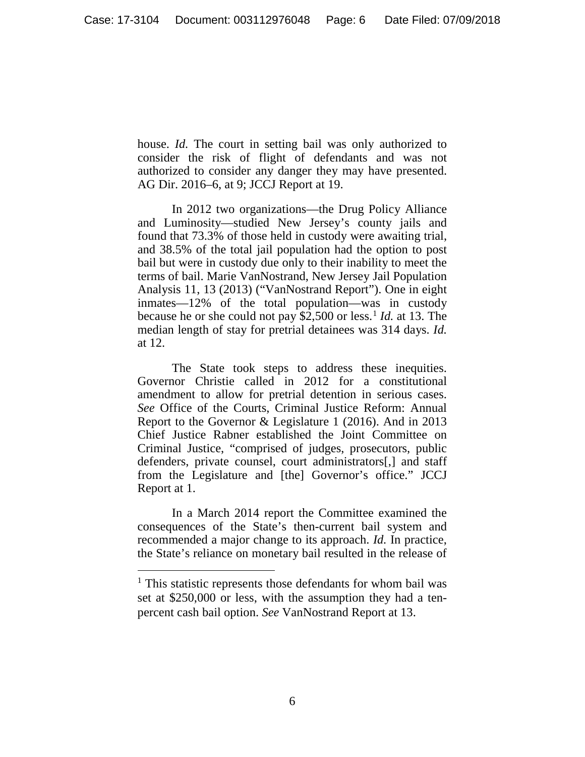house. *Id.* The court in setting bail was only authorized to consider the risk of flight of defendants and was not authorized to consider any danger they may have presented. AG Dir. 2016–6, at 9; JCCJ Report at 19.

In 2012 two organizations—the Drug Policy Alliance and Luminosity—studied New Jersey's county jails and found that 73.3% of those held in custody were awaiting trial, and 38.5% of the total jail population had the option to post bail but were in custody due only to their inability to meet the terms of bail. Marie VanNostrand, New Jersey Jail Population Analysis 11, 13 (2013) ("VanNostrand Report"). One in eight inmates—12% of the total population—was in custody because he or she could not pay \$2,500 or less.[1](#page-5-0) *Id.* at 13. The median length of stay for pretrial detainees was 314 days. *Id.* at 12.

The State took steps to address these inequities. Governor Christie called in 2012 for a constitutional amendment to allow for pretrial detention in serious cases. *See* Office of the Courts, Criminal Justice Reform: Annual Report to the Governor & Legislature 1 (2016). And in 2013 Chief Justice Rabner established the Joint Committee on Criminal Justice, "comprised of judges, prosecutors, public defenders, private counsel, court administrators[,] and staff from the Legislature and [the] Governor's office." JCCJ Report at 1.

In a March 2014 report the Committee examined the consequences of the State's then-current bail system and recommended a major change to its approach. *Id.* In practice, the State's reliance on monetary bail resulted in the release of

<span id="page-5-0"></span><sup>&</sup>lt;sup>1</sup> This statistic represents those defendants for whom bail was set at \$250,000 or less, with the assumption they had a tenpercent cash bail option. *See* VanNostrand Report at 13.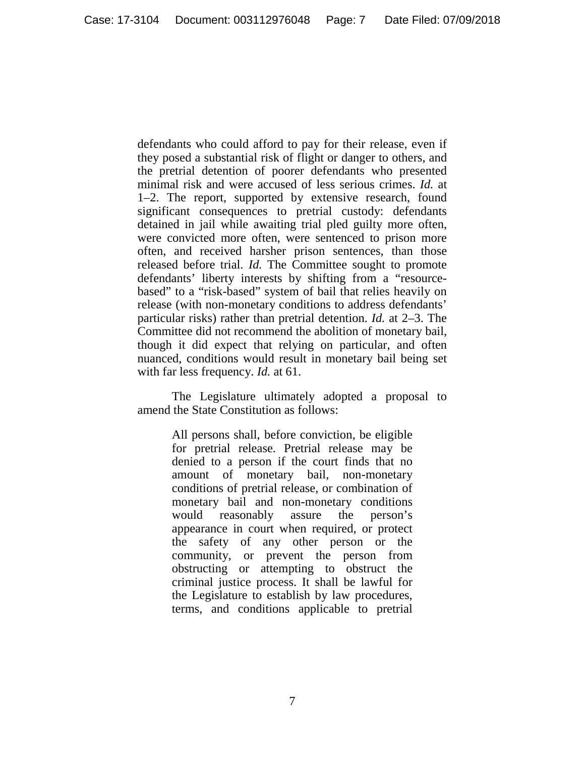defendants who could afford to pay for their release, even if they posed a substantial risk of flight or danger to others, and the pretrial detention of poorer defendants who presented minimal risk and were accused of less serious crimes. *Id.* at 1–2. The report, supported by extensive research, found significant consequences to pretrial custody: defendants detained in jail while awaiting trial pled guilty more often, were convicted more often, were sentenced to prison more often, and received harsher prison sentences, than those released before trial. *Id.* The Committee sought to promote defendants' liberty interests by shifting from a "resourcebased" to a "risk-based" system of bail that relies heavily on release (with non-monetary conditions to address defendants' particular risks) rather than pretrial detention. *Id.* at 2–3. The Committee did not recommend the abolition of monetary bail, though it did expect that relying on particular, and often nuanced, conditions would result in monetary bail being set with far less frequency. *Id.* at 61.

The Legislature ultimately adopted a proposal to amend the State Constitution as follows:

> All persons shall, before conviction, be eligible for pretrial release. Pretrial release may be denied to a person if the court finds that no amount of monetary bail, non-monetary conditions of pretrial release, or combination of monetary bail and non-monetary conditions would reasonably assure the person's appearance in court when required, or protect the safety of any other person or the community, or prevent the person from obstructing or attempting to obstruct the criminal justice process. It shall be lawful for the Legislature to establish by law procedures, terms, and conditions applicable to pretrial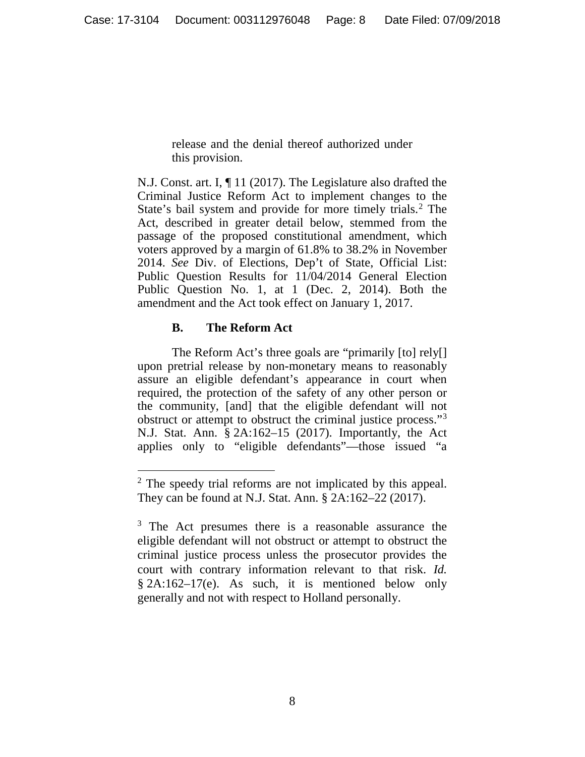release and the denial thereof authorized under this provision.

N.J. Const. art. I, ¶ 11 (2017). The Legislature also drafted the Criminal Justice Reform Act to implement changes to the State's bail system and provide for more timely trials.[2](#page-7-0) The Act, described in greater detail below, stemmed from the passage of the proposed constitutional amendment, which voters approved by a margin of 61.8% to 38.2% in November 2014. *See* Div. of Elections, Dep't of State, Official List: Public Question Results for 11/04/2014 General Election Public Question No. 1, at 1 (Dec. 2, 2014). Both the amendment and the Act took effect on January 1, 2017.

# **B. The Reform Act**

The Reform Act's three goals are "primarily [to] rely[] upon pretrial release by non-monetary means to reasonably assure an eligible defendant's appearance in court when required, the protection of the safety of any other person or the community, [and] that the eligible defendant will not obstruct or attempt to obstruct the criminal justice process."[3](#page-7-1) N.J. Stat. Ann. § 2A:162–15 (2017). Importantly, the Act applies only to "eligible defendants"—those issued "a

<span id="page-7-0"></span><sup>&</sup>lt;sup>2</sup> The speedy trial reforms are not implicated by this appeal. They can be found at N.J. Stat. Ann. § 2A:162–22 (2017).

<span id="page-7-1"></span><sup>&</sup>lt;sup>3</sup> The Act presumes there is a reasonable assurance the eligible defendant will not obstruct or attempt to obstruct the criminal justice process unless the prosecutor provides the court with contrary information relevant to that risk. *Id.*  $§$  2A:162–17(e). As such, it is mentioned below only generally and not with respect to Holland personally.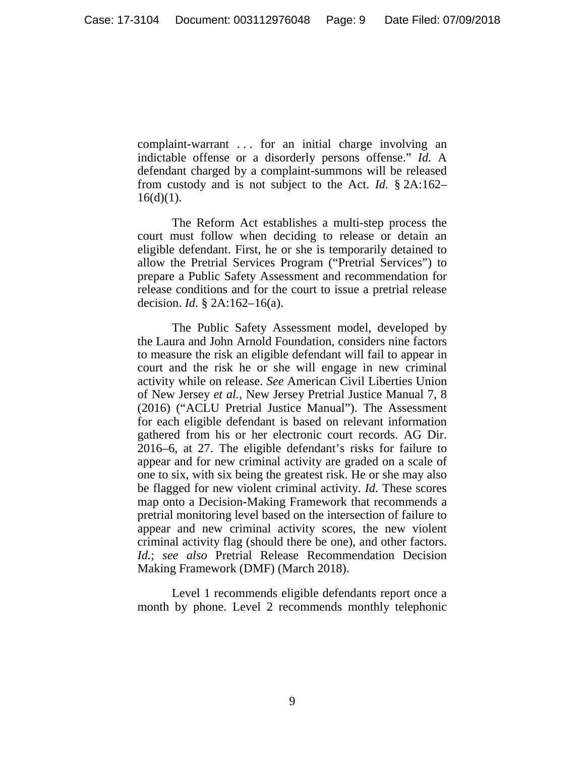complaint-warrant . . . for an initial charge involving an indictable offense or a disorderly persons offense." *Id.* A defendant charged by a complaint-summons will be released from custody and is not subject to the Act. *Id.* § 2A:162–  $16(d)(1)$ .

The Reform Act establishes a multi-step process the court must follow when deciding to release or detain an eligible defendant. First, he or she is temporarily detained to allow the Pretrial Services Program ("Pretrial Services") to prepare a Public Safety Assessment and recommendation for release conditions and for the court to issue a pretrial release decision. *Id.* § 2A:162–16(a).

The Public Safety Assessment model, developed by the Laura and John Arnold Foundation, considers nine factors to measure the risk an eligible defendant will fail to appear in court and the risk he or she will engage in new criminal activity while on release. *See* American Civil Liberties Union of New Jersey *et al.*, New Jersey Pretrial Justice Manual 7, 8 (2016) ("ACLU Pretrial Justice Manual"). The Assessment for each eligible defendant is based on relevant information gathered from his or her electronic court records. AG Dir. 2016–6, at 27. The eligible defendant's risks for failure to appear and for new criminal activity are graded on a scale of one to six, with six being the greatest risk. He or she may also be flagged for new violent criminal activity. *Id.* These scores map onto a Decision-Making Framework that recommends a pretrial monitoring level based on the intersection of failure to appear and new criminal activity scores, the new violent criminal activity flag (should there be one), and other factors. *Id.*; *see also* Pretrial Release Recommendation Decision Making Framework (DMF) (March 2018).

Level 1 recommends eligible defendants report once a month by phone. Level 2 recommends monthly telephonic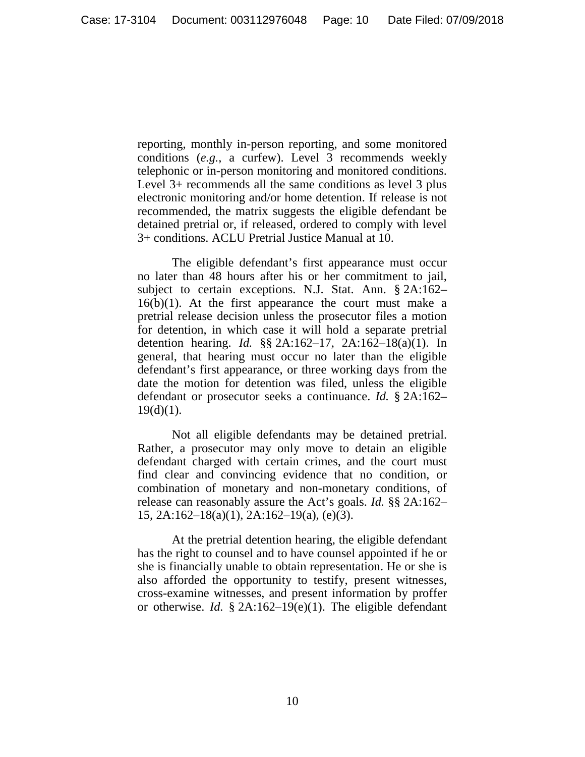reporting, monthly in-person reporting, and some monitored conditions (*e.g.*, a curfew). Level 3 recommends weekly telephonic or in-person monitoring and monitored conditions. Level 3+ recommends all the same conditions as level 3 plus electronic monitoring and/or home detention. If release is not recommended, the matrix suggests the eligible defendant be detained pretrial or, if released, ordered to comply with level 3+ conditions. ACLU Pretrial Justice Manual at 10.

The eligible defendant's first appearance must occur no later than 48 hours after his or her commitment to jail, subject to certain exceptions. N.J. Stat. Ann. § 2A:162–  $16(b)(1)$ . At the first appearance the court must make a pretrial release decision unless the prosecutor files a motion for detention, in which case it will hold a separate pretrial detention hearing. *Id.* §§ 2A:162–17, 2A:162–18(a)(1). In general, that hearing must occur no later than the eligible defendant's first appearance, or three working days from the date the motion for detention was filed, unless the eligible defendant or prosecutor seeks a continuance. *Id.* § 2A:162–  $19(d)(1)$ .

Not all eligible defendants may be detained pretrial. Rather, a prosecutor may only move to detain an eligible defendant charged with certain crimes, and the court must find clear and convincing evidence that no condition, or combination of monetary and non-monetary conditions, of release can reasonably assure the Act's goals. *Id.* §§ 2A:162– 15, 2A:162–18(a)(1), 2A:162–19(a), (e)(3).

At the pretrial detention hearing, the eligible defendant has the right to counsel and to have counsel appointed if he or she is financially unable to obtain representation. He or she is also afforded the opportunity to testify, present witnesses, cross-examine witnesses, and present information by proffer or otherwise. *Id.* § 2A:162–19(e)(1). The eligible defendant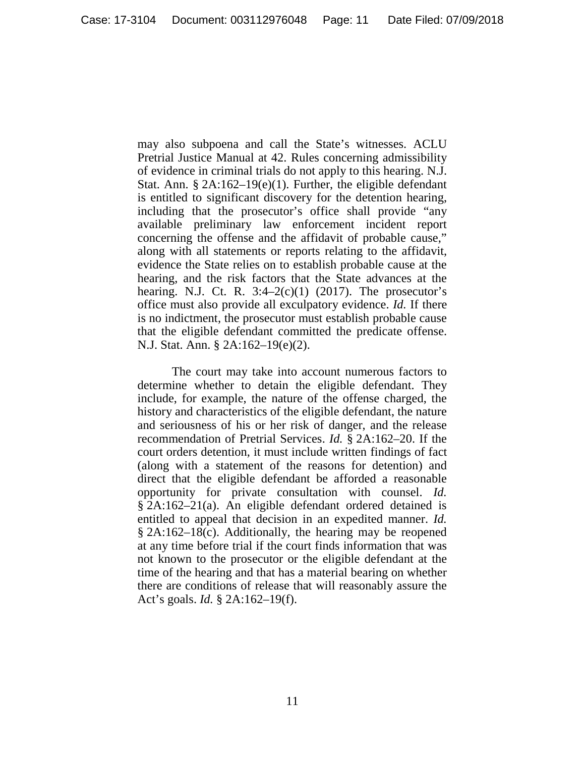may also subpoena and call the State's witnesses. ACLU Pretrial Justice Manual at 42. Rules concerning admissibility of evidence in criminal trials do not apply to this hearing. N.J. Stat. Ann. § 2A:162–19(e)(1). Further, the eligible defendant is entitled to significant discovery for the detention hearing, including that the prosecutor's office shall provide "any available preliminary law enforcement incident report concerning the offense and the affidavit of probable cause," along with all statements or reports relating to the affidavit, evidence the State relies on to establish probable cause at the hearing, and the risk factors that the State advances at the hearing. N.J. Ct. R.  $3:4-2(c)(1)$  (2017). The prosecutor's office must also provide all exculpatory evidence. *Id.* If there is no indictment, the prosecutor must establish probable cause that the eligible defendant committed the predicate offense. N.J. Stat. Ann. § 2A:162–19(e)(2).

The court may take into account numerous factors to determine whether to detain the eligible defendant. They include, for example, the nature of the offense charged, the history and characteristics of the eligible defendant, the nature and seriousness of his or her risk of danger, and the release recommendation of Pretrial Services. *Id.* § 2A:162–20. If the court orders detention, it must include written findings of fact (along with a statement of the reasons for detention) and direct that the eligible defendant be afforded a reasonable opportunity for private consultation with counsel. *Id.* § 2A:162–21(a). An eligible defendant ordered detained is entitled to appeal that decision in an expedited manner. *Id.* § 2A:162–18(c). Additionally, the hearing may be reopened at any time before trial if the court finds information that was not known to the prosecutor or the eligible defendant at the time of the hearing and that has a material bearing on whether there are conditions of release that will reasonably assure the Act's goals. *Id.* § 2A:162–19(f).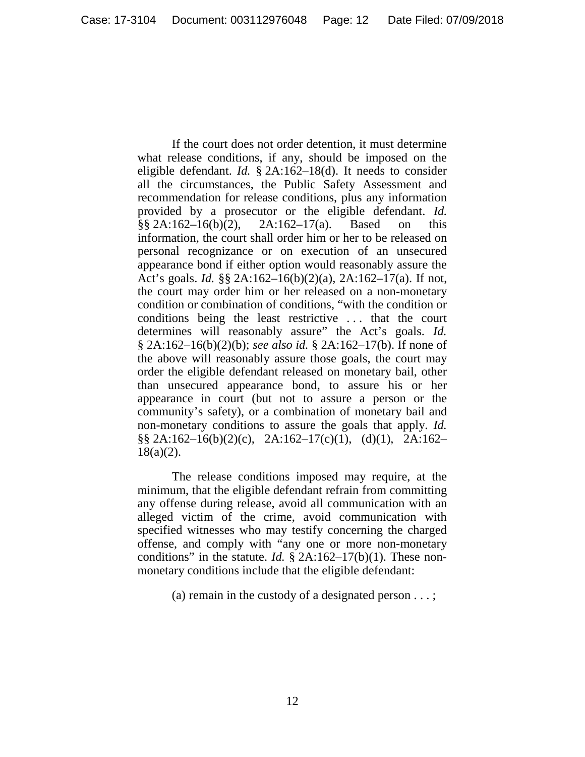If the court does not order detention, it must determine what release conditions, if any, should be imposed on the eligible defendant. *Id.* § 2A:162–18(d). It needs to consider all the circumstances, the Public Safety Assessment and recommendation for release conditions, plus any information provided by a prosecutor or the eligible defendant. *Id.*  $\S\S 2A:162-16(b)(2)$ ,  $2A:162-17(a)$ . Based on this information, the court shall order him or her to be released on personal recognizance or on execution of an unsecured appearance bond if either option would reasonably assure the Act's goals. *Id.* §§ 2A:162–16(b)(2)(a), 2A:162–17(a). If not, the court may order him or her released on a non-monetary condition or combination of conditions, "with the condition or conditions being the least restrictive . . . that the court determines will reasonably assure" the Act's goals. *Id.* § 2A:162–16(b)(2)(b); *see also id.* § 2A:162–17(b). If none of the above will reasonably assure those goals, the court may order the eligible defendant released on monetary bail, other than unsecured appearance bond, to assure his or her appearance in court (but not to assure a person or the community's safety), or a combination of monetary bail and non-monetary conditions to assure the goals that apply. *Id.* §§ 2A:162–16(b)(2)(c), 2A:162–17(c)(1), (d)(1), 2A:162–  $18(a)(2)$ .

The release conditions imposed may require, at the minimum, that the eligible defendant refrain from committing any offense during release, avoid all communication with an alleged victim of the crime, avoid communication with specified witnesses who may testify concerning the charged offense, and comply with "any one or more non-monetary conditions" in the statute. *Id.* § 2A:162–17(b)(1). These nonmonetary conditions include that the eligible defendant:

(a) remain in the custody of a designated person . . . ;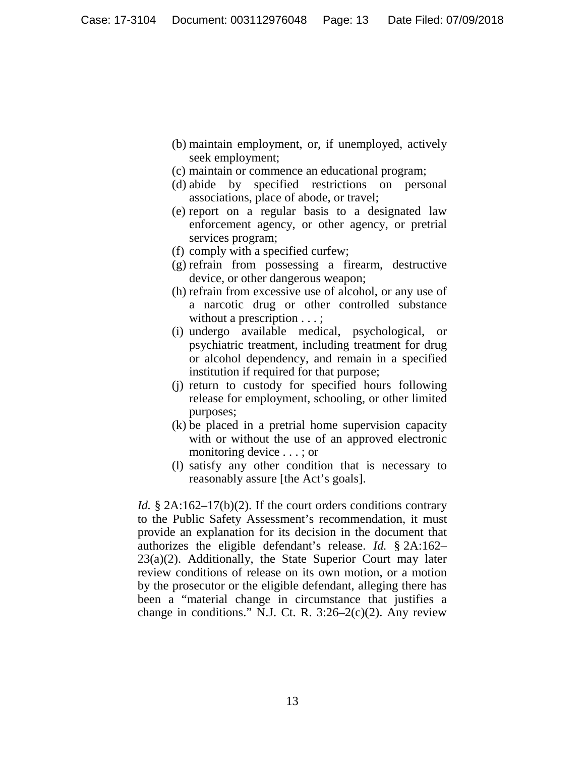- (b) maintain employment, or, if unemployed, actively seek employment;
- (c) maintain or commence an educational program;
- (d) abide by specified restrictions on personal associations, place of abode, or travel;
- (e) report on a regular basis to a designated law enforcement agency, or other agency, or pretrial services program;
- (f) comply with a specified curfew;
- (g) refrain from possessing a firearm, destructive device, or other dangerous weapon;
- (h) refrain from excessive use of alcohol, or any use of a narcotic drug or other controlled substance without a prescription . . . ;
- (i) undergo available medical, psychological, or psychiatric treatment, including treatment for drug or alcohol dependency, and remain in a specified institution if required for that purpose;
- (j) return to custody for specified hours following release for employment, schooling, or other limited purposes;
- (k) be placed in a pretrial home supervision capacity with or without the use of an approved electronic monitoring device . . . ; or
- (l) satisfy any other condition that is necessary to reasonably assure [the Act's goals].

*Id.* § 2A:162–17(b)(2). If the court orders conditions contrary to the Public Safety Assessment's recommendation, it must provide an explanation for its decision in the document that authorizes the eligible defendant's release. *Id.* § 2A:162– 23(a)(2). Additionally, the State Superior Court may later review conditions of release on its own motion, or a motion by the prosecutor or the eligible defendant, alleging there has been a "material change in circumstance that justifies a change in conditions." N.J. Ct. R.  $3:26-2(c)(2)$ . Any review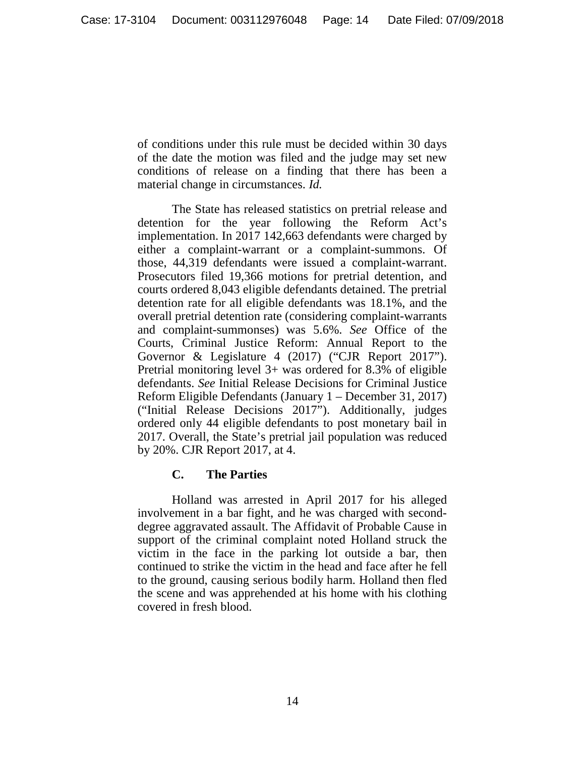of conditions under this rule must be decided within 30 days of the date the motion was filed and the judge may set new conditions of release on a finding that there has been a material change in circumstances. *Id.* 

The State has released statistics on pretrial release and detention for the year following the Reform Act's implementation. In 2017 142,663 defendants were charged by either a complaint-warrant or a complaint-summons. Of those, 44,319 defendants were issued a complaint-warrant. Prosecutors filed 19,366 motions for pretrial detention, and courts ordered 8,043 eligible defendants detained. The pretrial detention rate for all eligible defendants was 18.1%, and the overall pretrial detention rate (considering complaint-warrants and complaint-summonses) was 5.6%. *See* Office of the Courts, Criminal Justice Reform: Annual Report to the Governor & Legislature 4 (2017) ("CJR Report 2017"). Pretrial monitoring level 3+ was ordered for 8.3% of eligible defendants. *See* Initial Release Decisions for Criminal Justice Reform Eligible Defendants (January 1 – December 31, 2017) ("Initial Release Decisions 2017"). Additionally, judges ordered only 44 eligible defendants to post monetary bail in 2017. Overall, the State's pretrial jail population was reduced by 20%. CJR Report 2017, at 4.

## **C. The Parties**

Holland was arrested in April 2017 for his alleged involvement in a bar fight, and he was charged with seconddegree aggravated assault. The Affidavit of Probable Cause in support of the criminal complaint noted Holland struck the victim in the face in the parking lot outside a bar, then continued to strike the victim in the head and face after he fell to the ground, causing serious bodily harm. Holland then fled the scene and was apprehended at his home with his clothing covered in fresh blood.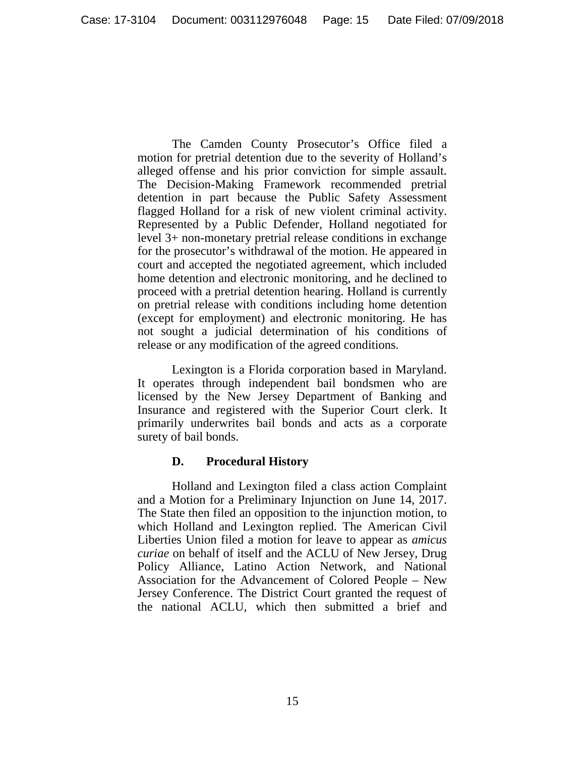The Camden County Prosecutor's Office filed a motion for pretrial detention due to the severity of Holland's alleged offense and his prior conviction for simple assault. The Decision-Making Framework recommended pretrial detention in part because the Public Safety Assessment flagged Holland for a risk of new violent criminal activity. Represented by a Public Defender, Holland negotiated for level 3+ non-monetary pretrial release conditions in exchange for the prosecutor's withdrawal of the motion. He appeared in court and accepted the negotiated agreement, which included home detention and electronic monitoring, and he declined to proceed with a pretrial detention hearing. Holland is currently on pretrial release with conditions including home detention (except for employment) and electronic monitoring. He has not sought a judicial determination of his conditions of release or any modification of the agreed conditions.

Lexington is a Florida corporation based in Maryland. It operates through independent bail bondsmen who are licensed by the New Jersey Department of Banking and Insurance and registered with the Superior Court clerk. It primarily underwrites bail bonds and acts as a corporate surety of bail bonds.

# **D. Procedural History**

Holland and Lexington filed a class action Complaint and a Motion for a Preliminary Injunction on June 14, 2017. The State then filed an opposition to the injunction motion, to which Holland and Lexington replied. The American Civil Liberties Union filed a motion for leave to appear as *amicus curiae* on behalf of itself and the ACLU of New Jersey, Drug Policy Alliance, Latino Action Network, and National Association for the Advancement of Colored People – New Jersey Conference. The District Court granted the request of the national ACLU, which then submitted a brief and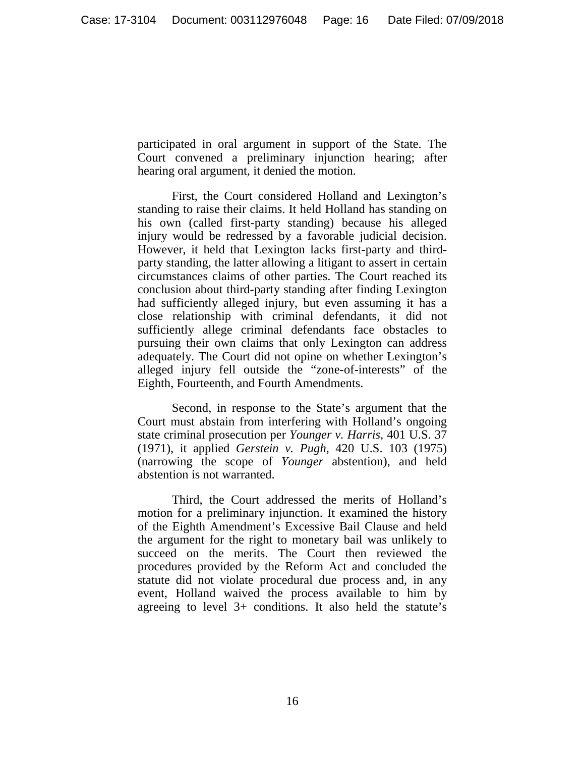participated in oral argument in support of the State. The Court convened a preliminary injunction hearing; after hearing oral argument, it denied the motion.

First, the Court considered Holland and Lexington's standing to raise their claims. It held Holland has standing on his own (called first-party standing) because his alleged injury would be redressed by a favorable judicial decision. However, it held that Lexington lacks first-party and thirdparty standing, the latter allowing a litigant to assert in certain circumstances claims of other parties. The Court reached its conclusion about third-party standing after finding Lexington had sufficiently alleged injury, but even assuming it has a close relationship with criminal defendants, it did not sufficiently allege criminal defendants face obstacles to pursuing their own claims that only Lexington can address adequately. The Court did not opine on whether Lexington's alleged injury fell outside the "zone-of-interests" of the Eighth, Fourteenth, and Fourth Amendments.

Second, in response to the State's argument that the Court must abstain from interfering with Holland's ongoing state criminal prosecution per *Younger v. Harris*, 401 U.S. 37 (1971), it applied *Gerstein v. Pugh*, 420 U.S. 103 (1975) (narrowing the scope of *Younger* abstention), and held abstention is not warranted.

Third, the Court addressed the merits of Holland's motion for a preliminary injunction. It examined the history of the Eighth Amendment's Excessive Bail Clause and held the argument for the right to monetary bail was unlikely to succeed on the merits. The Court then reviewed the procedures provided by the Reform Act and concluded the statute did not violate procedural due process and, in any event, Holland waived the process available to him by agreeing to level 3+ conditions. It also held the statute's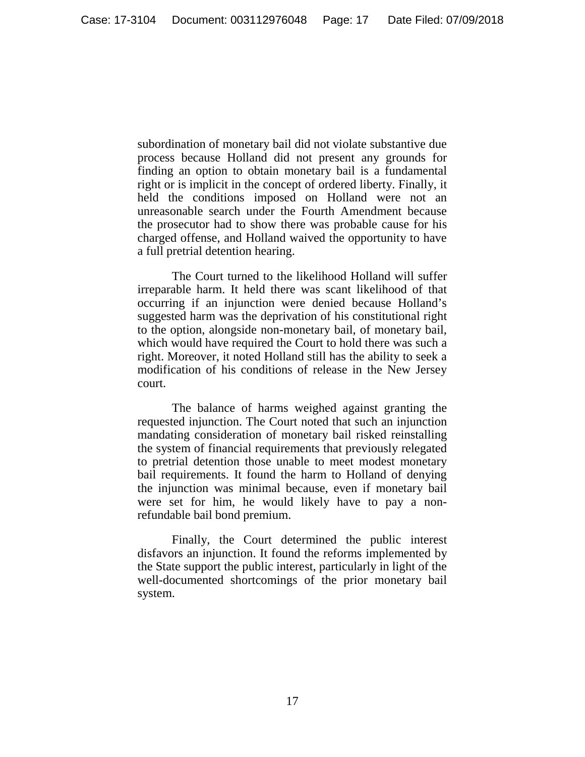subordination of monetary bail did not violate substantive due process because Holland did not present any grounds for finding an option to obtain monetary bail is a fundamental right or is implicit in the concept of ordered liberty. Finally, it held the conditions imposed on Holland were not an unreasonable search under the Fourth Amendment because the prosecutor had to show there was probable cause for his charged offense, and Holland waived the opportunity to have a full pretrial detention hearing.

The Court turned to the likelihood Holland will suffer irreparable harm. It held there was scant likelihood of that occurring if an injunction were denied because Holland's suggested harm was the deprivation of his constitutional right to the option, alongside non-monetary bail, of monetary bail, which would have required the Court to hold there was such a right. Moreover, it noted Holland still has the ability to seek a modification of his conditions of release in the New Jersey court.

The balance of harms weighed against granting the requested injunction. The Court noted that such an injunction mandating consideration of monetary bail risked reinstalling the system of financial requirements that previously relegated to pretrial detention those unable to meet modest monetary bail requirements. It found the harm to Holland of denying the injunction was minimal because, even if monetary bail were set for him, he would likely have to pay a nonrefundable bail bond premium.

Finally, the Court determined the public interest disfavors an injunction. It found the reforms implemented by the State support the public interest, particularly in light of the well-documented shortcomings of the prior monetary bail system.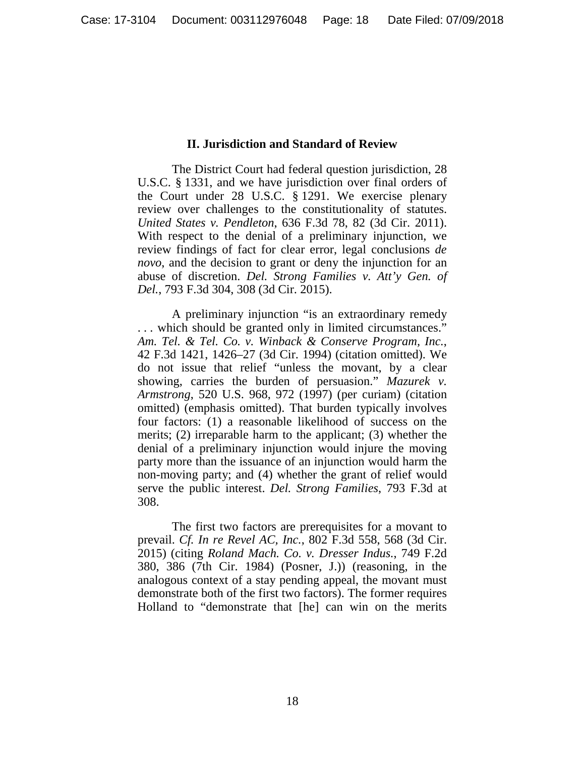### **II. Jurisdiction and Standard of Review**

The District Court had federal question jurisdiction, 28 U.S.C. § 1331, and we have jurisdiction over final orders of the Court under 28 U.S.C. § 1291. We exercise plenary review over challenges to the constitutionality of statutes. *United States v. Pendleton*, 636 F.3d 78, 82 (3d Cir. 2011). With respect to the denial of a preliminary injunction, we review findings of fact for clear error, legal conclusions *de novo*, and the decision to grant or deny the injunction for an abuse of discretion. *Del. Strong Families v. Att'y Gen. of Del.*, 793 F.3d 304, 308 (3d Cir. 2015).

A preliminary injunction "is an extraordinary remedy . . . which should be granted only in limited circumstances." *Am. Tel. & Tel. Co. v. Winback & Conserve Program, Inc.*, 42 F.3d 1421, 1426–27 (3d Cir. 1994) (citation omitted). We do not issue that relief "unless the movant, by a clear showing, carries the burden of persuasion." *Mazurek v. Armstrong*, 520 U.S. 968, 972 (1997) (per curiam) (citation omitted) (emphasis omitted). That burden typically involves four factors: (1) a reasonable likelihood of success on the merits; (2) irreparable harm to the applicant; (3) whether the denial of a preliminary injunction would injure the moving party more than the issuance of an injunction would harm the non-moving party; and (4) whether the grant of relief would serve the public interest. *Del. Strong Families*, 793 F.3d at 308.

The first two factors are prerequisites for a movant to prevail. *Cf. In re Revel AC, Inc.*, 802 F.3d 558, 568 (3d Cir. 2015) (citing *Roland Mach. Co. v. Dresser Indus.*, 749 F.2d 380, 386 (7th Cir. 1984) (Posner, J.)) (reasoning, in the analogous context of a stay pending appeal, the movant must demonstrate both of the first two factors). The former requires Holland to "demonstrate that [he] can win on the merits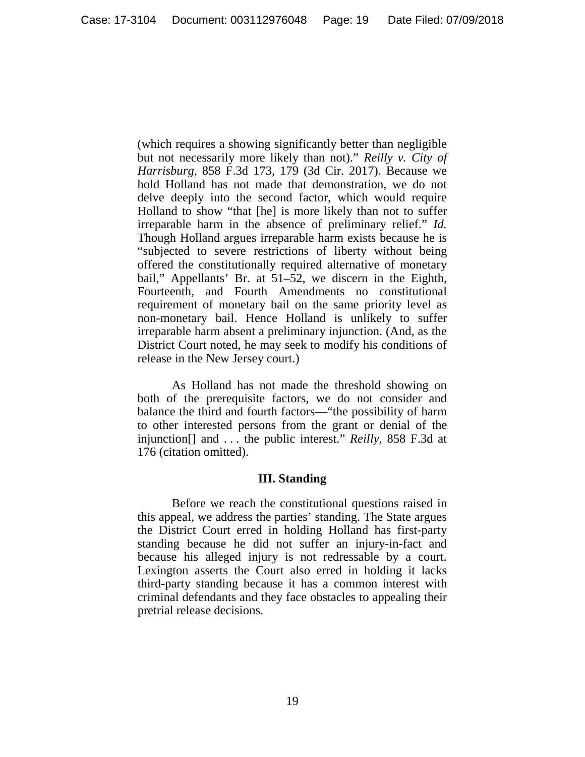(which requires a showing significantly better than negligible but not necessarily more likely than not)." *Reilly v. City of Harrisburg*, 858 F.3d 173, 179 (3d Cir. 2017). Because we hold Holland has not made that demonstration, we do not delve deeply into the second factor, which would require Holland to show "that [he] is more likely than not to suffer irreparable harm in the absence of preliminary relief." *Id.* Though Holland argues irreparable harm exists because he is "subjected to severe restrictions of liberty without being offered the constitutionally required alternative of monetary bail," Appellants' Br. at 51–52, we discern in the Eighth, Fourteenth, and Fourth Amendments no constitutional requirement of monetary bail on the same priority level as non-monetary bail. Hence Holland is unlikely to suffer irreparable harm absent a preliminary injunction. (And, as the District Court noted, he may seek to modify his conditions of release in the New Jersey court.)

As Holland has not made the threshold showing on both of the prerequisite factors, we do not consider and balance the third and fourth factors—"the possibility of harm to other interested persons from the grant or denial of the injunction[] and . . . the public interest." *Reilly*, 858 F.3d at 176 (citation omitted).

## **III. Standing**

Before we reach the constitutional questions raised in this appeal, we address the parties' standing. The State argues the District Court erred in holding Holland has first-party standing because he did not suffer an injury-in-fact and because his alleged injury is not redressable by a court. Lexington asserts the Court also erred in holding it lacks third-party standing because it has a common interest with criminal defendants and they face obstacles to appealing their pretrial release decisions.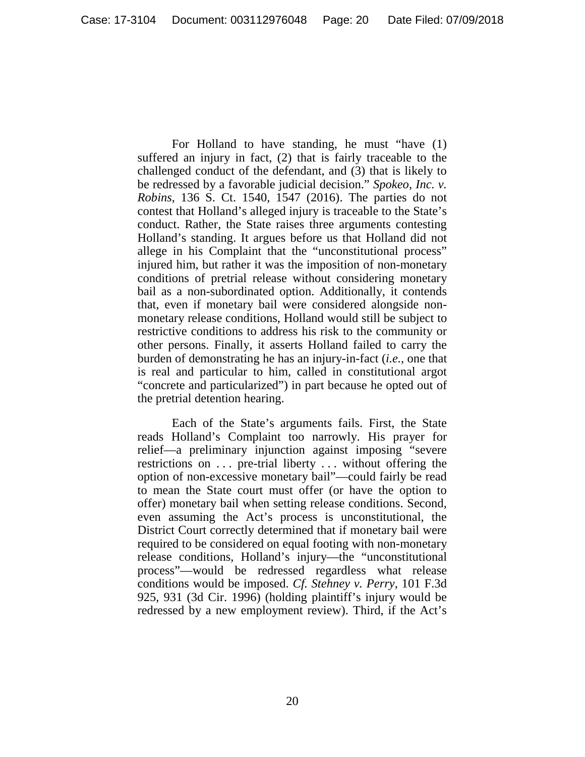For Holland to have standing, he must "have (1) suffered an injury in fact, (2) that is fairly traceable to the challenged conduct of the defendant, and (3) that is likely to be redressed by a favorable judicial decision." *Spokeo, Inc. v. Robins*, 136 S. Ct. 1540, 1547 (2016). The parties do not contest that Holland's alleged injury is traceable to the State's conduct. Rather, the State raises three arguments contesting Holland's standing. It argues before us that Holland did not allege in his Complaint that the "unconstitutional process" injured him, but rather it was the imposition of non-monetary conditions of pretrial release without considering monetary bail as a non-subordinated option. Additionally, it contends that, even if monetary bail were considered alongside nonmonetary release conditions, Holland would still be subject to restrictive conditions to address his risk to the community or other persons. Finally, it asserts Holland failed to carry the burden of demonstrating he has an injury-in-fact (*i.e.*, one that is real and particular to him, called in constitutional argot "concrete and particularized") in part because he opted out of the pretrial detention hearing.

Each of the State's arguments fails. First, the State reads Holland's Complaint too narrowly. His prayer for relief—a preliminary injunction against imposing "severe restrictions on ... pre-trial liberty ... without offering the option of non-excessive monetary bail"—could fairly be read to mean the State court must offer (or have the option to offer) monetary bail when setting release conditions. Second, even assuming the Act's process is unconstitutional, the District Court correctly determined that if monetary bail were required to be considered on equal footing with non-monetary release conditions, Holland's injury—the "unconstitutional process"—would be redressed regardless what release conditions would be imposed. *Cf. Stehney v. Perry*, 101 F.3d 925, 931 (3d Cir. 1996) (holding plaintiff's injury would be redressed by a new employment review). Third, if the Act's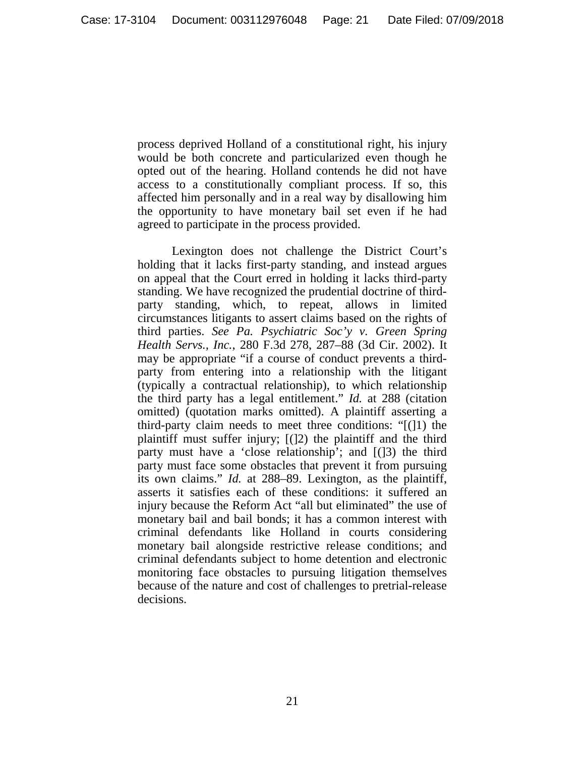process deprived Holland of a constitutional right, his injury would be both concrete and particularized even though he opted out of the hearing. Holland contends he did not have access to a constitutionally compliant process. If so, this affected him personally and in a real way by disallowing him the opportunity to have monetary bail set even if he had agreed to participate in the process provided.

Lexington does not challenge the District Court's holding that it lacks first-party standing, and instead argues on appeal that the Court erred in holding it lacks third-party standing. We have recognized the prudential doctrine of thirdparty standing, which, to repeat, allows in limited circumstances litigants to assert claims based on the rights of third parties. *See Pa. Psychiatric Soc'y v. Green Spring Health Servs., Inc.*, 280 F.3d 278, 287–88 (3d Cir. 2002). It may be appropriate "if a course of conduct prevents a thirdparty from entering into a relationship with the litigant (typically a contractual relationship), to which relationship the third party has a legal entitlement." *Id.* at 288 (citation omitted) (quotation marks omitted). A plaintiff asserting a third-party claim needs to meet three conditions: "[(]1) the plaintiff must suffer injury; [(]2) the plaintiff and the third party must have a 'close relationship'; and [(]3) the third party must face some obstacles that prevent it from pursuing its own claims." *Id.* at 288–89. Lexington, as the plaintiff, asserts it satisfies each of these conditions: it suffered an injury because the Reform Act "all but eliminated" the use of monetary bail and bail bonds; it has a common interest with criminal defendants like Holland in courts considering monetary bail alongside restrictive release conditions; and criminal defendants subject to home detention and electronic monitoring face obstacles to pursuing litigation themselves because of the nature and cost of challenges to pretrial-release decisions.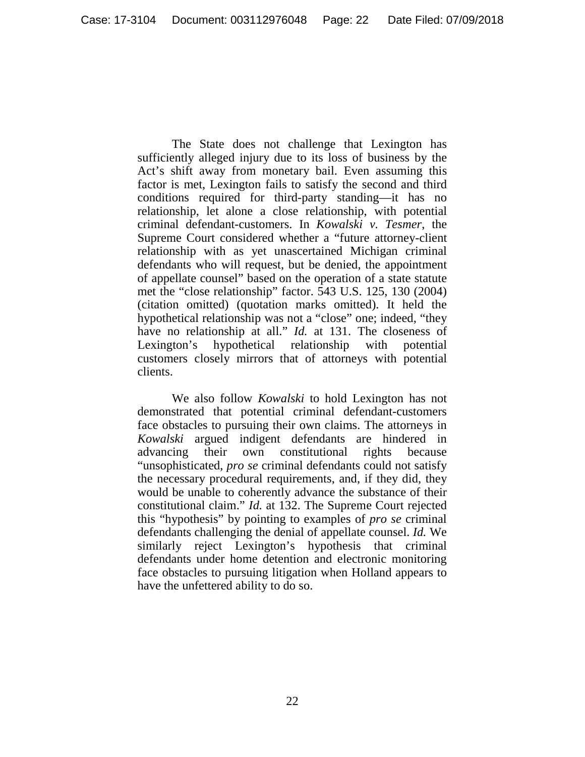The State does not challenge that Lexington has sufficiently alleged injury due to its loss of business by the Act's shift away from monetary bail. Even assuming this factor is met, Lexington fails to satisfy the second and third conditions required for third-party standing—it has no relationship, let alone a close relationship, with potential criminal defendant-customers. In *Kowalski v. Tesmer*, the Supreme Court considered whether a "future attorney-client relationship with as yet unascertained Michigan criminal defendants who will request, but be denied, the appointment of appellate counsel" based on the operation of a state statute met the "close relationship" factor. 543 U.S. 125, 130 (2004) (citation omitted) (quotation marks omitted). It held the hypothetical relationship was not a "close" one; indeed, "they have no relationship at all." *Id.* at 131. The closeness of Lexington's hypothetical relationship with potential customers closely mirrors that of attorneys with potential clients.

We also follow *Kowalski* to hold Lexington has not demonstrated that potential criminal defendant-customers face obstacles to pursuing their own claims. The attorneys in *Kowalski* argued indigent defendants are hindered in advancing their own constitutional rights because "unsophisticated, *pro se* criminal defendants could not satisfy the necessary procedural requirements, and, if they did, they would be unable to coherently advance the substance of their constitutional claim." *Id.* at 132. The Supreme Court rejected this "hypothesis" by pointing to examples of *pro se* criminal defendants challenging the denial of appellate counsel. *Id.* We similarly reject Lexington's hypothesis that criminal defendants under home detention and electronic monitoring face obstacles to pursuing litigation when Holland appears to have the unfettered ability to do so.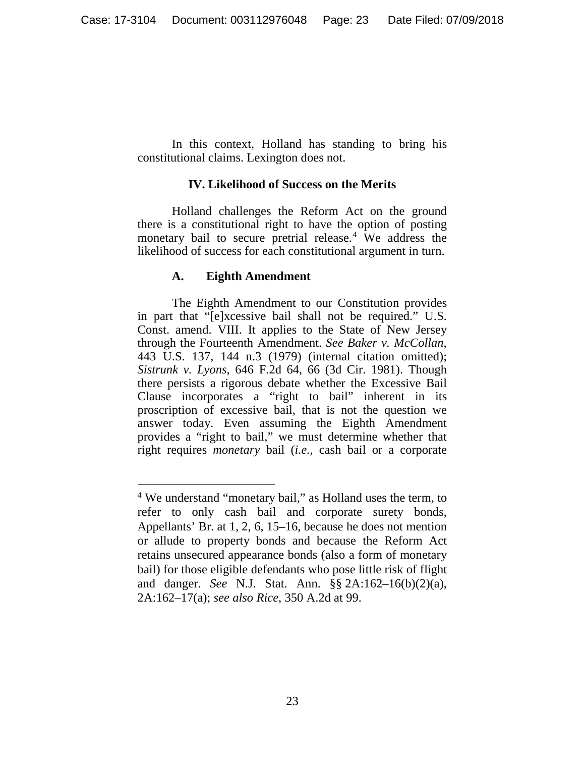In this context, Holland has standing to bring his constitutional claims. Lexington does not.

## **IV. Likelihood of Success on the Merits**

Holland challenges the Reform Act on the ground there is a constitutional right to have the option of posting monetary bail to secure pretrial release. [4](#page-22-0) We address the likelihood of success for each constitutional argument in turn.

## **A. Eighth Amendment**

The Eighth Amendment to our Constitution provides in part that "[e]xcessive bail shall not be required." U.S. Const. amend. VIII. It applies to the State of New Jersey through the Fourteenth Amendment. *See Baker v. McCollan*, 443 U.S. 137, 144 n.3 (1979) (internal citation omitted); *Sistrunk v. Lyons*, 646 F.2d 64, 66 (3d Cir. 1981). Though there persists a rigorous debate whether the Excessive Bail Clause incorporates a "right to bail" inherent in its proscription of excessive bail, that is not the question we answer today. Even assuming the Eighth Amendment provides a "right to bail," we must determine whether that right requires *monetary* bail (*i.e.*, cash bail or a corporate

<span id="page-22-0"></span><sup>&</sup>lt;sup>4</sup> We understand "monetary bail," as Holland uses the term, to refer to only cash bail and corporate surety bonds, Appellants' Br. at 1, 2, 6, 15–16, because he does not mention or allude to property bonds and because the Reform Act retains unsecured appearance bonds (also a form of monetary bail) for those eligible defendants who pose little risk of flight and danger. *See* N.J. Stat. Ann. §§ 2A:162–16(b)(2)(a), 2A:162–17(a); *see also Rice*, 350 A.2d at 99.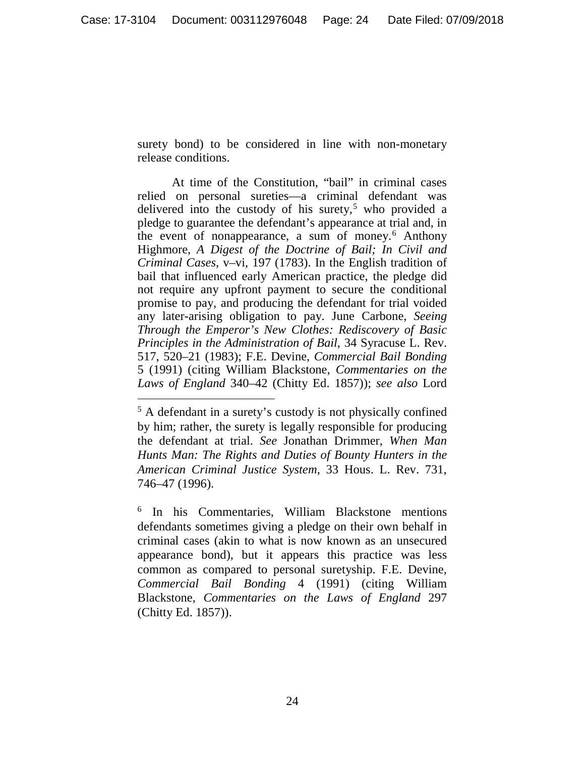surety bond) to be considered in line with non-monetary release conditions.

At time of the Constitution, "bail" in criminal cases relied on personal sureties—a criminal defendant was delivered into the custody of his surety, $5$  who provided a pledge to guarantee the defendant's appearance at trial and, in the event of nonappearance, a sum of money.[6](#page-23-1) Anthony Highmore, *A Digest of the Doctrine of Bail; In Civil and Criminal Cases*, v–vi, 197 (1783). In the English tradition of bail that influenced early American practice, the pledge did not require any upfront payment to secure the conditional promise to pay, and producing the defendant for trial voided any later-arising obligation to pay. June Carbone, *Seeing Through the Emperor's New Clothes: Rediscovery of Basic Principles in the Administration of Bail*, 34 Syracuse L. Rev. 517, 520–21 (1983); F.E. Devine, *Commercial Bail Bonding* 5 (1991) (citing William Blackstone, *Commentaries on the Laws of England* 340–42 (Chitty Ed. 1857)); *see also* Lord

<span id="page-23-0"></span> <sup>5</sup> A defendant in a surety's custody is not physically confined by him; rather, the surety is legally responsible for producing the defendant at trial. *See* Jonathan Drimmer, *When Man Hunts Man: The Rights and Duties of Bounty Hunters in the American Criminal Justice System*, 33 Hous. L. Rev. 731, 746–47 (1996).

<span id="page-23-1"></span><sup>6</sup> In his Commentaries, William Blackstone mentions defendants sometimes giving a pledge on their own behalf in criminal cases (akin to what is now known as an unsecured appearance bond), but it appears this practice was less common as compared to personal suretyship. F.E. Devine, *Commercial Bail Bonding* 4 (1991) (citing William Blackstone, *Commentaries on the Laws of England* 297 (Chitty Ed. 1857)).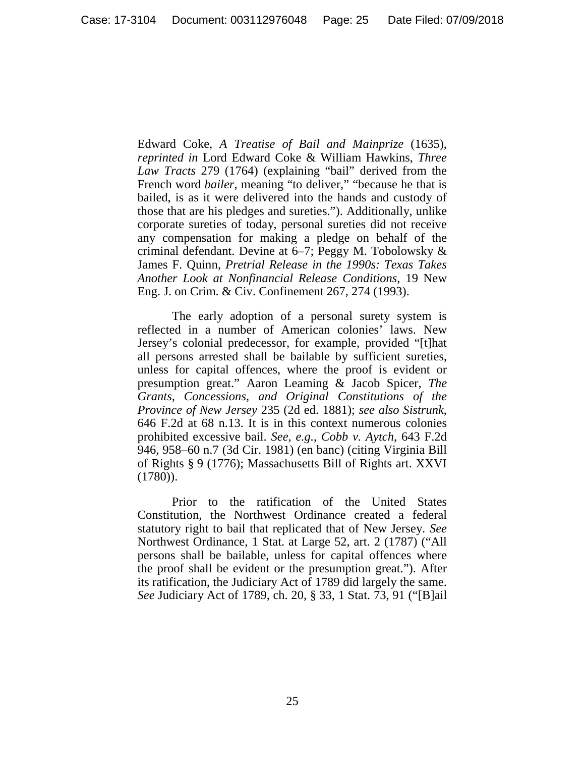Edward Coke, *A Treatise of Bail and Mainprize* (1635), *reprinted in* Lord Edward Coke & William Hawkins, *Three Law Tracts* 279 (1764) (explaining "bail" derived from the French word *bailer*, meaning "to deliver," "because he that is bailed, is as it were delivered into the hands and custody of those that are his pledges and sureties."). Additionally, unlike corporate sureties of today, personal sureties did not receive any compensation for making a pledge on behalf of the criminal defendant. Devine at 6–7; Peggy M. Tobolowsky & James F. Quinn, *Pretrial Release in the 1990s: Texas Takes Another Look at Nonfinancial Release Conditions*, 19 New Eng. J. on Crim. & Civ. Confinement 267, 274 (1993).

The early adoption of a personal surety system is reflected in a number of American colonies' laws. New Jersey's colonial predecessor, for example, provided "[t]hat all persons arrested shall be bailable by sufficient sureties, unless for capital offences, where the proof is evident or presumption great." Aaron Leaming & Jacob Spicer, *The Grants, Concessions, and Original Constitutions of the Province of New Jersey* 235 (2d ed. 1881); *see also Sistrunk*, 646 F.2d at 68 n.13. It is in this context numerous colonies prohibited excessive bail. *See, e.g.*, *Cobb v. Aytch*, 643 F.2d 946, 958–60 n.7 (3d Cir. 1981) (en banc) (citing Virginia Bill of Rights § 9 (1776); Massachusetts Bill of Rights art. XXVI (1780)).

Prior to the ratification of the United States Constitution, the Northwest Ordinance created a federal statutory right to bail that replicated that of New Jersey. *See*  Northwest Ordinance, 1 Stat. at Large 52, art. 2 (1787) ("All persons shall be bailable, unless for capital offences where the proof shall be evident or the presumption great."). After its ratification, the Judiciary Act of 1789 did largely the same. *See* Judiciary Act of 1789, ch. 20, § 33, 1 Stat. 73, 91 ("[B]ail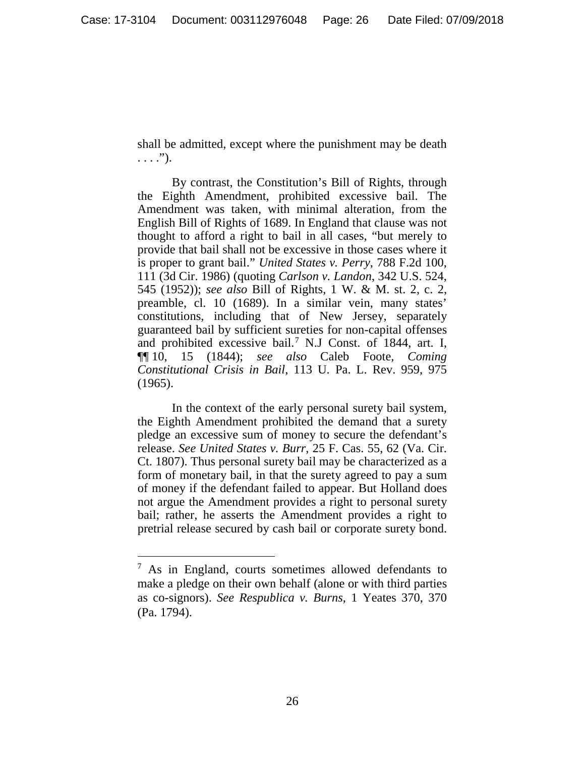shall be admitted, except where the punishment may be death  $\ldots$ .").

By contrast, the Constitution's Bill of Rights, through the Eighth Amendment, prohibited excessive bail. The Amendment was taken, with minimal alteration, from the English Bill of Rights of 1689. In England that clause was not thought to afford a right to bail in all cases, "but merely to provide that bail shall not be excessive in those cases where it is proper to grant bail." *United States v. Perry*, 788 F.2d 100, 111 (3d Cir. 1986) (quoting *Carlson v. Landon*, 342 U.S. 524, 545 (1952)); *see also* Bill of Rights, 1 W. & M. st. 2, c. 2, preamble, cl. 10 (1689). In a similar vein, many states' constitutions, including that of New Jersey, separately guaranteed bail by sufficient sureties for non-capital offenses and prohibited excessive bail.[7](#page-25-0) N.J Const. of 1844, art. I, ¶¶ 10, 15 (1844); *see also* Caleb Foote, *Coming Constitutional Crisis in Bail*, 113 U. Pa. L. Rev. 959, 975 (1965).

In the context of the early personal surety bail system, the Eighth Amendment prohibited the demand that a surety pledge an excessive sum of money to secure the defendant's release. *See United States v. Burr*, 25 F. Cas. 55, 62 (Va. Cir. Ct. 1807). Thus personal surety bail may be characterized as a form of monetary bail, in that the surety agreed to pay a sum of money if the defendant failed to appear. But Holland does not argue the Amendment provides a right to personal surety bail; rather, he asserts the Amendment provides a right to pretrial release secured by cash bail or corporate surety bond.

<span id="page-25-0"></span> <sup>7</sup> As in England, courts sometimes allowed defendants to make a pledge on their own behalf (alone or with third parties as co-signors). *See Respublica v. Burns*, 1 Yeates 370, 370 (Pa. 1794).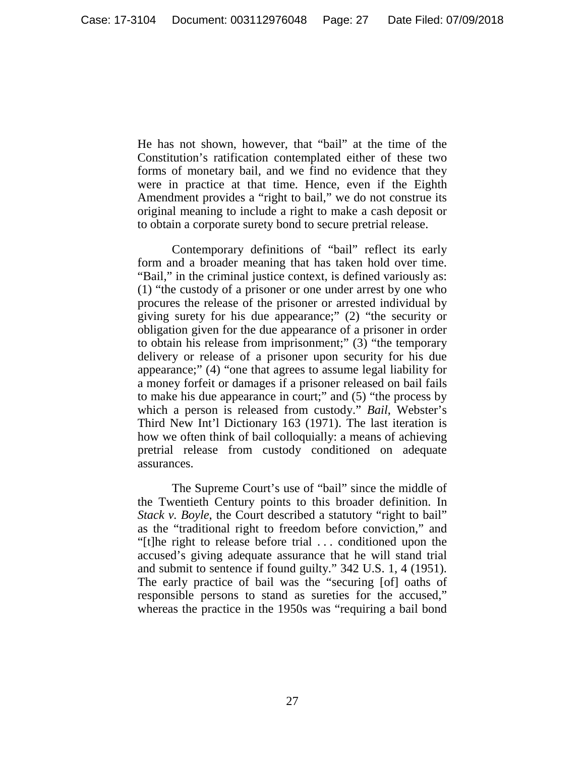He has not shown, however, that "bail" at the time of the Constitution's ratification contemplated either of these two forms of monetary bail, and we find no evidence that they were in practice at that time. Hence, even if the Eighth Amendment provides a "right to bail," we do not construe its original meaning to include a right to make a cash deposit or to obtain a corporate surety bond to secure pretrial release.

Contemporary definitions of "bail" reflect its early form and a broader meaning that has taken hold over time. "Bail," in the criminal justice context, is defined variously as: (1) "the custody of a prisoner or one under arrest by one who procures the release of the prisoner or arrested individual by giving surety for his due appearance;" (2) "the security or obligation given for the due appearance of a prisoner in order to obtain his release from imprisonment;" (3) "the temporary delivery or release of a prisoner upon security for his due appearance;" (4) "one that agrees to assume legal liability for a money forfeit or damages if a prisoner released on bail fails to make his due appearance in court;" and (5) "the process by which a person is released from custody." *Bail*, Webster's Third New Int'l Dictionary 163 (1971). The last iteration is how we often think of bail colloquially: a means of achieving pretrial release from custody conditioned on adequate assurances.

The Supreme Court's use of "bail" since the middle of the Twentieth Century points to this broader definition. In *Stack v. Boyle*, the Court described a statutory "right to bail" as the "traditional right to freedom before conviction," and "[t]he right to release before trial . . . conditioned upon the accused's giving adequate assurance that he will stand trial and submit to sentence if found guilty." 342 U.S. 1, 4 (1951). The early practice of bail was the "securing [of] oaths of responsible persons to stand as sureties for the accused," whereas the practice in the 1950s was "requiring a bail bond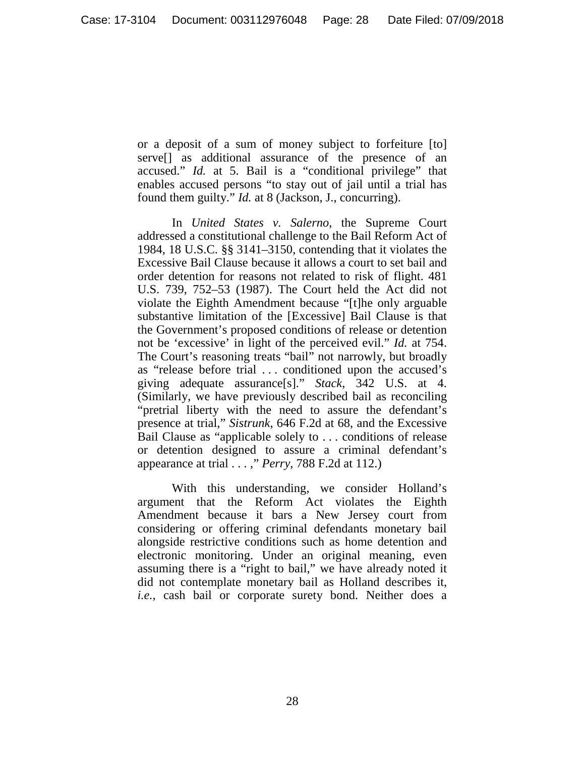or a deposit of a sum of money subject to forfeiture [to] serve[] as additional assurance of the presence of an accused." *Id.* at 5. Bail is a "conditional privilege" that enables accused persons "to stay out of jail until a trial has found them guilty." *Id.* at 8 (Jackson, J., concurring).

In *United States v. Salerno*, the Supreme Court addressed a constitutional challenge to the Bail Reform Act of 1984, 18 U.S.C. §§ 3141–3150, contending that it violates the Excessive Bail Clause because it allows a court to set bail and order detention for reasons not related to risk of flight. 481 U.S. 739, 752–53 (1987). The Court held the Act did not violate the Eighth Amendment because "[t]he only arguable substantive limitation of the [Excessive] Bail Clause is that the Government's proposed conditions of release or detention not be 'excessive' in light of the perceived evil." *Id.* at 754. The Court's reasoning treats "bail" not narrowly, but broadly as "release before trial . . . conditioned upon the accused's giving adequate assurance[s]." *Stack*, 342 U.S. at 4. (Similarly, we have previously described bail as reconciling "pretrial liberty with the need to assure the defendant's presence at trial," *Sistrunk*, 646 F.2d at 68, and the Excessive Bail Clause as "applicable solely to . . . conditions of release or detention designed to assure a criminal defendant's appearance at trial . . . ," *Perry*, 788 F.2d at 112.)

With this understanding, we consider Holland's argument that the Reform Act violates the Eighth Amendment because it bars a New Jersey court from considering or offering criminal defendants monetary bail alongside restrictive conditions such as home detention and electronic monitoring. Under an original meaning, even assuming there is a "right to bail," we have already noted it did not contemplate monetary bail as Holland describes it, *i.e.*, cash bail or corporate surety bond. Neither does a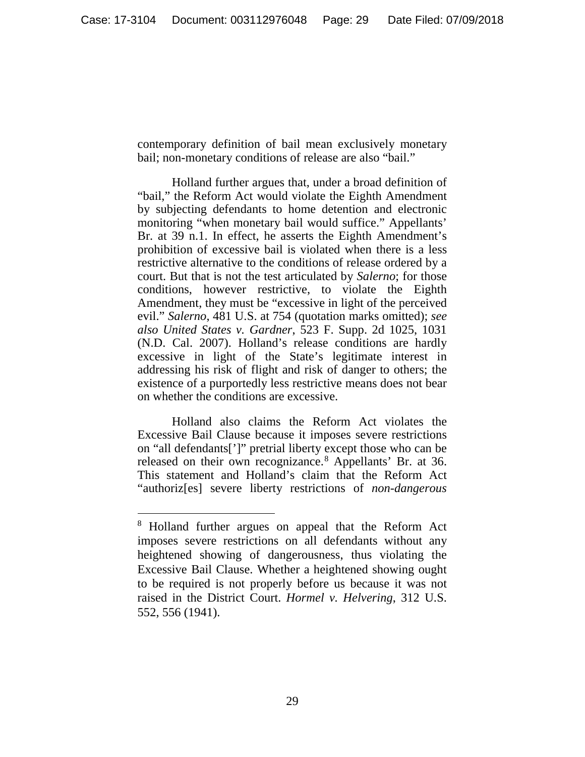contemporary definition of bail mean exclusively monetary bail; non-monetary conditions of release are also "bail."

Holland further argues that, under a broad definition of "bail," the Reform Act would violate the Eighth Amendment by subjecting defendants to home detention and electronic monitoring "when monetary bail would suffice." Appellants' Br. at 39 n.1. In effect, he asserts the Eighth Amendment's prohibition of excessive bail is violated when there is a less restrictive alternative to the conditions of release ordered by a court. But that is not the test articulated by *Salerno*; for those conditions, however restrictive, to violate the Eighth Amendment, they must be "excessive in light of the perceived evil." *Salerno*, 481 U.S. at 754 (quotation marks omitted); *see also United States v. Gardner*, 523 F. Supp. 2d 1025, 1031 (N.D. Cal. 2007). Holland's release conditions are hardly excessive in light of the State's legitimate interest in addressing his risk of flight and risk of danger to others; the existence of a purportedly less restrictive means does not bear on whether the conditions are excessive.

Holland also claims the Reform Act violates the Excessive Bail Clause because it imposes severe restrictions on "all defendants[']" pretrial liberty except those who can be released on their own recognizance.<sup>[8](#page-28-0)</sup> Appellants' Br. at 36. This statement and Holland's claim that the Reform Act "authoriz[es] severe liberty restrictions of *non-dangerous*

<span id="page-28-0"></span> <sup>8</sup> Holland further argues on appeal that the Reform Act imposes severe restrictions on all defendants without any heightened showing of dangerousness, thus violating the Excessive Bail Clause. Whether a heightened showing ought to be required is not properly before us because it was not raised in the District Court. *Hormel v. Helvering*, 312 U.S. 552, 556 (1941).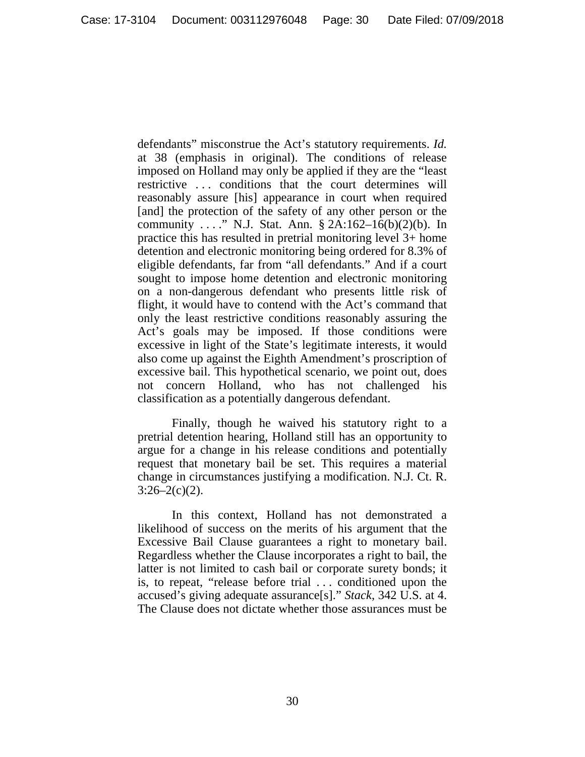defendants" misconstrue the Act's statutory requirements. *Id.* at 38 (emphasis in original). The conditions of release imposed on Holland may only be applied if they are the "least restrictive . . . conditions that the court determines will reasonably assure [his] appearance in court when required [and] the protection of the safety of any other person or the community . . . ." N.J. Stat. Ann. § 2A:162–16(b)(2)(b). In practice this has resulted in pretrial monitoring level 3+ home detention and electronic monitoring being ordered for 8.3% of eligible defendants, far from "all defendants." And if a court sought to impose home detention and electronic monitoring on a non-dangerous defendant who presents little risk of flight, it would have to contend with the Act's command that only the least restrictive conditions reasonably assuring the Act's goals may be imposed. If those conditions were excessive in light of the State's legitimate interests, it would also come up against the Eighth Amendment's proscription of excessive bail. This hypothetical scenario, we point out, does not concern Holland, who has not challenged his classification as a potentially dangerous defendant.

Finally, though he waived his statutory right to a pretrial detention hearing, Holland still has an opportunity to argue for a change in his release conditions and potentially request that monetary bail be set. This requires a material change in circumstances justifying a modification. N.J. Ct. R.  $3:26-2(c)(2)$ .

In this context, Holland has not demonstrated a likelihood of success on the merits of his argument that the Excessive Bail Clause guarantees a right to monetary bail. Regardless whether the Clause incorporates a right to bail, the latter is not limited to cash bail or corporate surety bonds; it is, to repeat, "release before trial . . . conditioned upon the accused's giving adequate assurance[s]." *Stack*, 342 U.S. at 4. The Clause does not dictate whether those assurances must be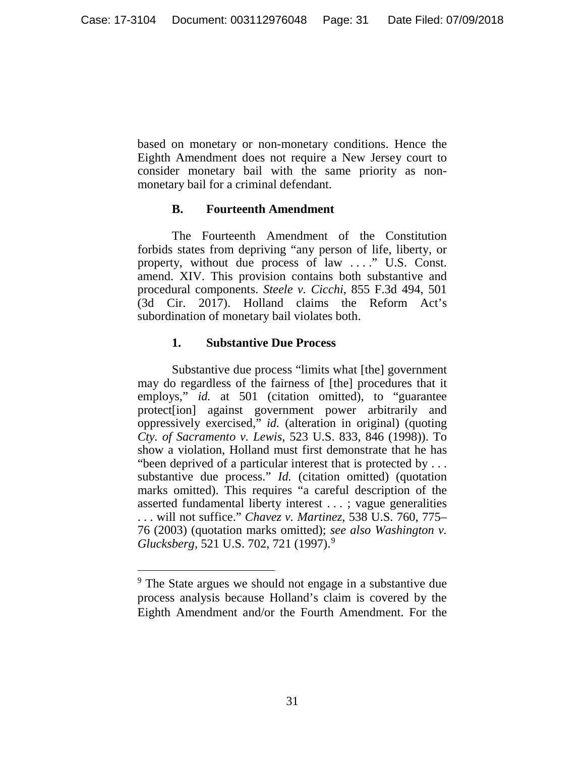based on monetary or non-monetary conditions. Hence the Eighth Amendment does not require a New Jersey court to consider monetary bail with the same priority as nonmonetary bail for a criminal defendant.

## **B. Fourteenth Amendment**

The Fourteenth Amendment of the Constitution forbids states from depriving "any person of life, liberty, or property, without due process of law . . . ." U.S. Const. amend. XIV. This provision contains both substantive and procedural components. *Steele v. Cicchi*, 855 F.3d 494, 501 (3d Cir. 2017). Holland claims the Reform Act's subordination of monetary bail violates both.

## **1. Substantive Due Process**

Substantive due process "limits what [the] government may do regardless of the fairness of [the] procedures that it employs," *id.* at 501 (citation omitted), to "guarantee protect[ion] against government power arbitrarily and oppressively exercised," *id.* (alteration in original) (quoting *Cty. of Sacramento v. Lewis*, 523 U.S. 833, 846 (1998)). To show a violation, Holland must first demonstrate that he has "been deprived of a particular interest that is protected by . . . substantive due process." *Id.* (citation omitted) (quotation marks omitted). This requires "a careful description of the asserted fundamental liberty interest . . . ; vague generalities . . . will not suffice." *Chavez v. Martinez*, 538 U.S. 760, 775– 76 (2003) (quotation marks omitted); *see also Washington v. Glucksberg*, 521 U.S. 702, 721 (1997).[9](#page-30-0)

<span id="page-30-0"></span><sup>&</sup>lt;sup>9</sup> The State argues we should not engage in a substantive due process analysis because Holland's claim is covered by the Eighth Amendment and/or the Fourth Amendment. For the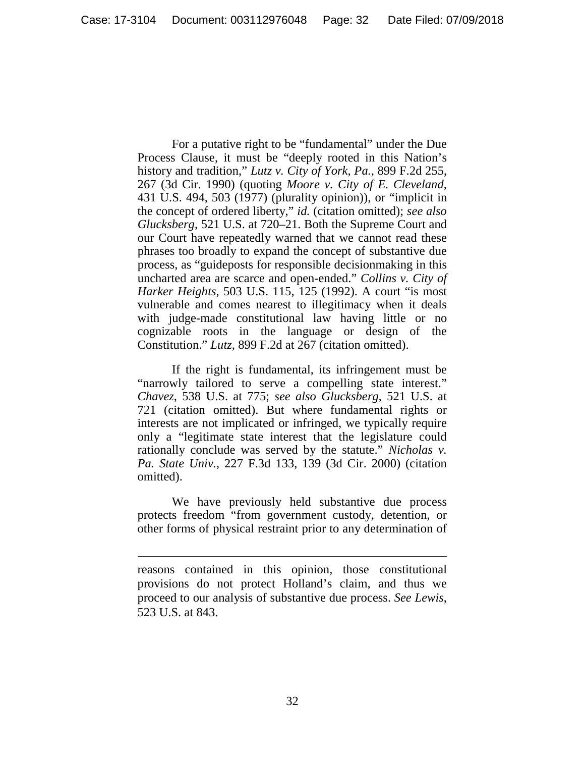For a putative right to be "fundamental" under the Due Process Clause, it must be "deeply rooted in this Nation's history and tradition," *Lutz v. City of York, Pa.*, 899 F.2d 255, 267 (3d Cir. 1990) (quoting *Moore v. City of E. Cleveland*, 431 U.S. 494, 503 (1977) (plurality opinion)), or "implicit in the concept of ordered liberty," *id.* (citation omitted); *see also Glucksberg*, 521 U.S. at 720–21. Both the Supreme Court and our Court have repeatedly warned that we cannot read these phrases too broadly to expand the concept of substantive due process, as "guideposts for responsible decisionmaking in this uncharted area are scarce and open-ended." *Collins v. City of Harker Heights*, 503 U.S. 115, 125 (1992). A court "is most vulnerable and comes nearest to illegitimacy when it deals with judge-made constitutional law having little or no cognizable roots in the language or design of the Constitution." *Lutz*, 899 F.2d at 267 (citation omitted).

If the right is fundamental, its infringement must be "narrowly tailored to serve a compelling state interest." *Chavez*, 538 U.S. at 775; *see also Glucksberg*, 521 U.S. at 721 (citation omitted). But where fundamental rights or interests are not implicated or infringed, we typically require only a "legitimate state interest that the legislature could rationally conclude was served by the statute." *Nicholas v. Pa. State Univ.*, 227 F.3d 133, 139 (3d Cir. 2000) (citation omitted).

We have previously held substantive due process protects freedom "from government custody, detention, or other forms of physical restraint prior to any determination of

 $\overline{a}$ 

reasons contained in this opinion, those constitutional provisions do not protect Holland's claim, and thus we proceed to our analysis of substantive due process. *See Lewis*, 523 U.S. at 843.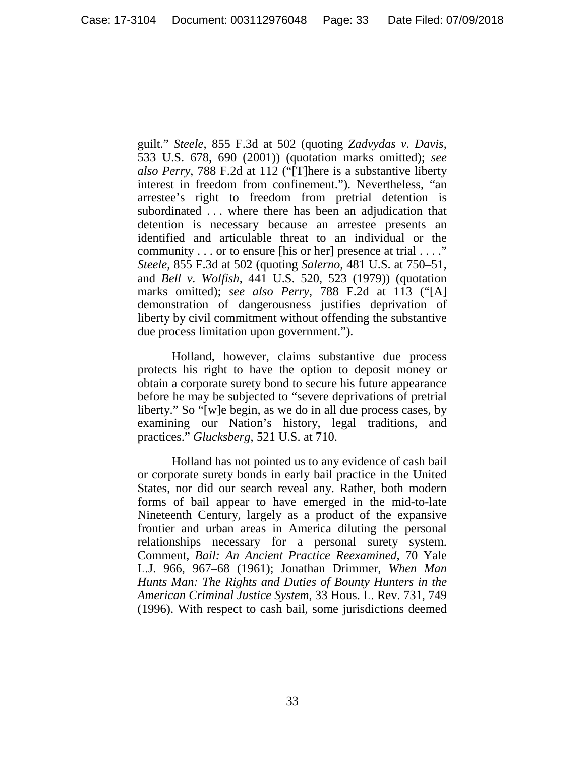guilt." *Steele*, 855 F.3d at 502 (quoting *Zadvydas v. Davis*, 533 U.S. 678, 690 (2001)) (quotation marks omitted); *see also Perry*, 788 F.2d at 112 ("[T]here is a substantive liberty interest in freedom from confinement."). Nevertheless, "an arrestee's right to freedom from pretrial detention is subordinated . . . where there has been an adjudication that detention is necessary because an arrestee presents an identified and articulable threat to an individual or the community . . . or to ensure [his or her] presence at trial . . . ." *Steele*, 855 F.3d at 502 (quoting *Salerno*, 481 U.S. at 750–51, and *Bell v. Wolfish*, 441 U.S. 520, 523 (1979)) (quotation marks omitted); *see also Perry*, 788 F.2d at 113 ("[A] demonstration of dangerousness justifies deprivation of liberty by civil commitment without offending the substantive due process limitation upon government.").

Holland, however, claims substantive due process protects his right to have the option to deposit money or obtain a corporate surety bond to secure his future appearance before he may be subjected to "severe deprivations of pretrial liberty." So "[w]e begin, as we do in all due process cases, by examining our Nation's history, legal traditions, and practices." *Glucksberg*, 521 U.S. at 710.

Holland has not pointed us to any evidence of cash bail or corporate surety bonds in early bail practice in the United States, nor did our search reveal any. Rather, both modern forms of bail appear to have emerged in the mid-to-late Nineteenth Century, largely as a product of the expansive frontier and urban areas in America diluting the personal relationships necessary for a personal surety system. Comment, *Bail: An Ancient Practice Reexamined*, 70 Yale L.J. 966, 967–68 (1961); Jonathan Drimmer, *When Man Hunts Man: The Rights and Duties of Bounty Hunters in the American Criminal Justice System*, 33 Hous. L. Rev. 731, 749 (1996). With respect to cash bail, some jurisdictions deemed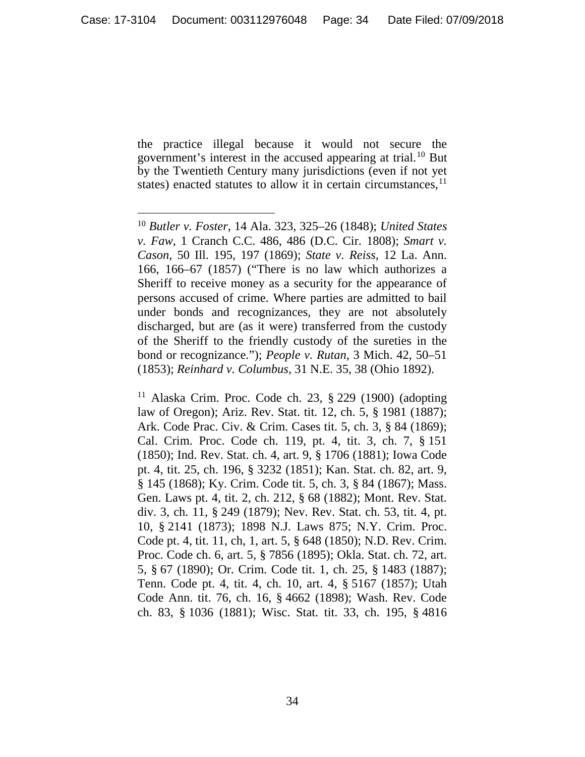the practice illegal because it would not secure the government's interest in the accused appearing at trial. [10](#page-33-0) But by the Twentieth Century many jurisdictions (even if not yet states) enacted statutes to allow it in certain circumstances,<sup>[11](#page-33-1)</sup>

<span id="page-33-1"></span><sup>11</sup> Alaska Crim. Proc. Code ch. 23,  $\S$  229 (1900) (adopting law of Oregon); Ariz. Rev. Stat. tit. 12, ch. 5, § 1981 (1887); Ark. Code Prac. Civ. & Crim. Cases tit. 5, ch. 3, § 84 (1869); Cal. Crim. Proc. Code ch. 119, pt. 4, tit. 3, ch. 7, § 151 (1850); Ind. Rev. Stat. ch. 4, art. 9, § 1706 (1881); Iowa Code pt. 4, tit. 25, ch. 196, § 3232 (1851); Kan. Stat. ch. 82, art. 9, § 145 (1868); Ky. Crim. Code tit. 5, ch. 3, § 84 (1867); Mass. Gen. Laws pt. 4, tit. 2, ch. 212, § 68 (1882); Mont. Rev. Stat. div. 3, ch. 11, § 249 (1879); Nev. Rev. Stat. ch. 53, tit. 4, pt. 10, § 2141 (1873); 1898 N.J. Laws 875; N.Y. Crim. Proc. Code pt. 4, tit. 11, ch, 1, art. 5, § 648 (1850); N.D. Rev. Crim. Proc. Code ch. 6, art. 5, § 7856 (1895); Okla. Stat. ch. 72, art. 5, § 67 (1890); Or. Crim. Code tit. 1, ch. 25, § 1483 (1887); Tenn. Code pt. 4, tit. 4, ch. 10, art. 4, § 5167 (1857); Utah Code Ann. tit. 76, ch. 16, § 4662 (1898); Wash. Rev. Code ch. 83, § 1036 (1881); Wisc. Stat. tit. 33, ch. 195, § 4816

<span id="page-33-0"></span> <sup>10</sup> *Butler v. Foster*, 14 Ala. 323, 325–26 (1848); *United States v. Faw*, 1 Cranch C.C. 486, 486 (D.C. Cir. 1808); *Smart v. Cason*, 50 Ill. 195, 197 (1869); *State v. Reiss*, 12 La. Ann. 166, 166–67 (1857) ("There is no law which authorizes a Sheriff to receive money as a security for the appearance of persons accused of crime. Where parties are admitted to bail under bonds and recognizances, they are not absolutely discharged, but are (as it were) transferred from the custody of the Sheriff to the friendly custody of the sureties in the bond or recognizance."); *People v. Rutan*, 3 Mich. 42, 50–51 (1853); *Reinhard v. Columbus*, 31 N.E. 35, 38 (Ohio 1892).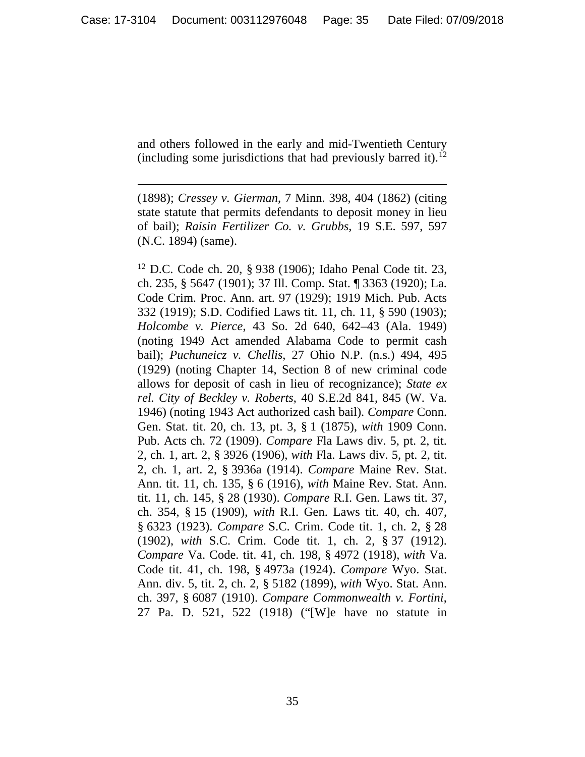and others followed in the early and mid-Twentieth Century (including some jurisdictions that had previously barred it).<sup>[12](#page-34-0)</sup>

 $\overline{a}$ 

(1898); *Cressey v. Gierman*, 7 Minn. 398, 404 (1862) (citing state statute that permits defendants to deposit money in lieu of bail); *Raisin Fertilizer Co. v. Grubbs*, 19 S.E. 597, 597 (N.C. 1894) (same).

<span id="page-34-0"></span><sup>12</sup> D.C. Code ch. 20, § 938 (1906); Idaho Penal Code tit. 23, ch. 235, § 5647 (1901); 37 Ill. Comp. Stat. ¶ 3363 (1920); La. Code Crim. Proc. Ann. art. 97 (1929); 1919 Mich. Pub. Acts 332 (1919); S.D. Codified Laws tit. 11, ch. 11, § 590 (1903); *Holcombe v. Pierce*, 43 So. 2d 640, 642–43 (Ala. 1949) (noting 1949 Act amended Alabama Code to permit cash bail); *Puchuneicz v. Chellis*, 27 Ohio N.P. (n.s.) 494, 495 (1929) (noting Chapter 14, Section 8 of new criminal code allows for deposit of cash in lieu of recognizance); *State ex rel. City of Beckley v. Roberts*, 40 S.E.2d 841, 845 (W. Va. 1946) (noting 1943 Act authorized cash bail). *Compare* Conn. Gen. Stat. tit. 20, ch. 13, pt. 3, § 1 (1875), *with* 1909 Conn. Pub. Acts ch. 72 (1909). *Compare* Fla Laws div. 5, pt. 2, tit. 2, ch. 1, art. 2, § 3926 (1906), *with* Fla. Laws div. 5, pt. 2, tit. 2, ch. 1, art. 2, § 3936a (1914). *Compare* Maine Rev. Stat. Ann. tit. 11, ch. 135, § 6 (1916), *with* Maine Rev. Stat. Ann. tit. 11, ch. 145, § 28 (1930). *Compare* R.I. Gen. Laws tit. 37, ch. 354, § 15 (1909), *with* R.I. Gen. Laws tit. 40, ch. 407, § 6323 (1923). *Compare* S.C. Crim. Code tit. 1, ch. 2, § 28 (1902), *with* S.C. Crim. Code tit. 1, ch. 2, § 37 (1912). *Compare* Va. Code. tit. 41, ch. 198, § 4972 (1918), *with* Va. Code tit. 41, ch. 198, § 4973a (1924). *Compare* Wyo. Stat. Ann. div. 5, tit. 2, ch. 2, § 5182 (1899), *with* Wyo. Stat. Ann. ch. 397, § 6087 (1910). *Compare Commonwealth v. Fortini*, 27 Pa. D. 521, 522 (1918) ("[W]e have no statute in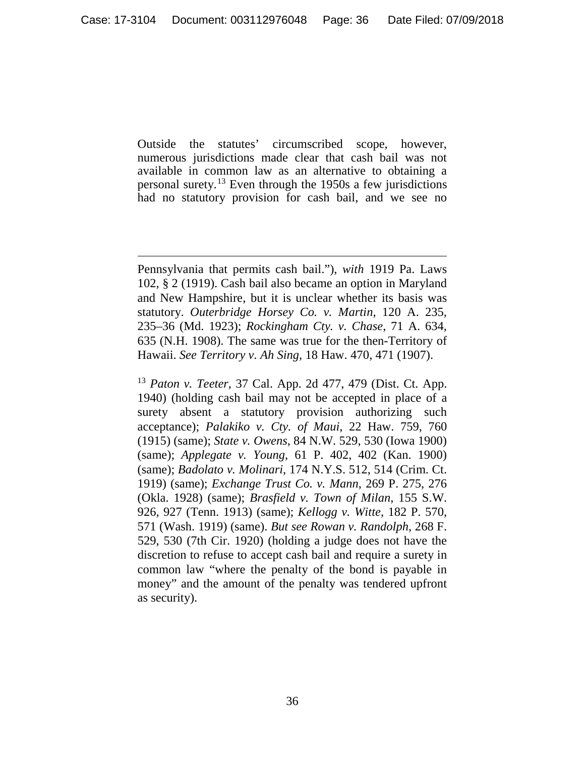Outside the statutes' circumscribed scope, however, numerous jurisdictions made clear that cash bail was not available in common law as an alternative to obtaining a personal surety.[13](#page-35-0) Even through the 1950s a few jurisdictions had no statutory provision for cash bail, and we see no

 $\overline{a}$ 

<span id="page-35-0"></span><sup>13</sup> *Paton v. Teeter*, 37 Cal. App. 2d 477, 479 (Dist. Ct. App. 1940) (holding cash bail may not be accepted in place of a surety absent a statutory provision authorizing such acceptance); *Palakiko v. Cty. of Maui*, 22 Haw. 759, 760 (1915) (same); *State v. Owens*, 84 N.W. 529, 530 (Iowa 1900) (same); *Applegate v. Young*, 61 P. 402, 402 (Kan. 1900) (same); *Badolato v. Molinari*, 174 N.Y.S. 512, 514 (Crim. Ct. 1919) (same); *Exchange Trust Co. v. Mann*, 269 P. 275, 276 (Okla. 1928) (same); *Brasfield v. Town of Milan*, 155 S.W. 926, 927 (Tenn. 1913) (same); *Kellogg v. Witte*, 182 P. 570, 571 (Wash. 1919) (same). *But see Rowan v. Randolph*, 268 F. 529, 530 (7th Cir. 1920) (holding a judge does not have the discretion to refuse to accept cash bail and require a surety in common law "where the penalty of the bond is payable in money" and the amount of the penalty was tendered upfront as security).

Pennsylvania that permits cash bail."), *with* 1919 Pa. Laws 102, § 2 (1919). Cash bail also became an option in Maryland and New Hampshire, but it is unclear whether its basis was statutory. *Outerbridge Horsey Co. v. Martin*, 120 A. 235, 235–36 (Md. 1923); *Rockingham Cty. v. Chase*, 71 A. 634, 635 (N.H. 1908). The same was true for the then-Territory of Hawaii. *See Territory v. Ah Sing*, 18 Haw. 470, 471 (1907).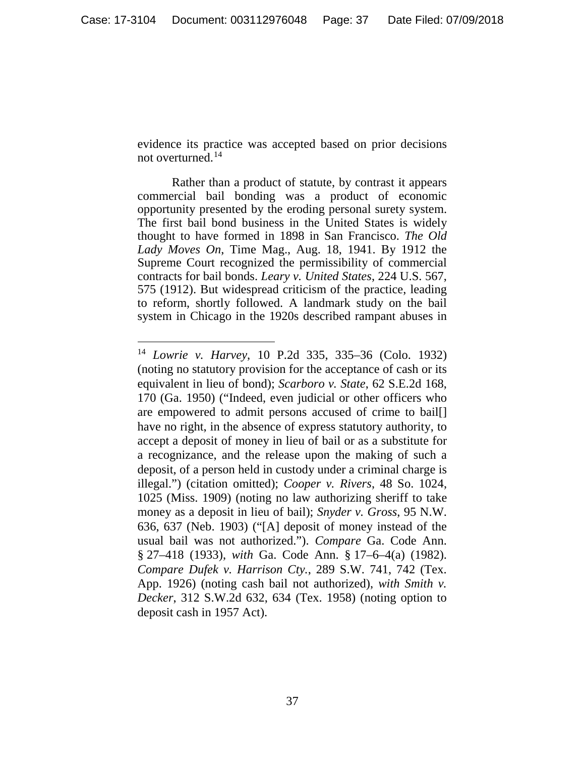evidence its practice was accepted based on prior decisions not overturned. [14](#page-36-0)

Rather than a product of statute, by contrast it appears commercial bail bonding was a product of economic opportunity presented by the eroding personal surety system. The first bail bond business in the United States is widely thought to have formed in 1898 in San Francisco. *The Old Lady Moves On*, Time Mag., Aug. 18, 1941. By 1912 the Supreme Court recognized the permissibility of commercial contracts for bail bonds. *Leary v. United States*, 224 U.S. 567, 575 (1912). But widespread criticism of the practice, leading to reform, shortly followed. A landmark study on the bail system in Chicago in the 1920s described rampant abuses in

<span id="page-36-0"></span> <sup>14</sup> *Lowrie v. Harvey*, 10 P.2d 335, 335–36 (Colo. 1932) (noting no statutory provision for the acceptance of cash or its equivalent in lieu of bond); *Scarboro v. State*, 62 S.E.2d 168, 170 (Ga. 1950) ("Indeed, even judicial or other officers who are empowered to admit persons accused of crime to bail[] have no right, in the absence of express statutory authority, to accept a deposit of money in lieu of bail or as a substitute for a recognizance, and the release upon the making of such a deposit, of a person held in custody under a criminal charge is illegal.") (citation omitted); *Cooper v. Rivers*, 48 So. 1024, 1025 (Miss. 1909) (noting no law authorizing sheriff to take money as a deposit in lieu of bail); *Snyder v. Gross*, 95 N.W. 636, 637 (Neb. 1903) ("[A] deposit of money instead of the usual bail was not authorized."). *Compare* Ga. Code Ann. § 27–418 (1933), *with* Ga. Code Ann. § 17–6–4(a) (1982). *Compare Dufek v. Harrison Cty.*, 289 S.W. 741, 742 (Tex. App. 1926) (noting cash bail not authorized), *with Smith v. Decker*, 312 S.W.2d 632, 634 (Tex. 1958) (noting option to deposit cash in 1957 Act).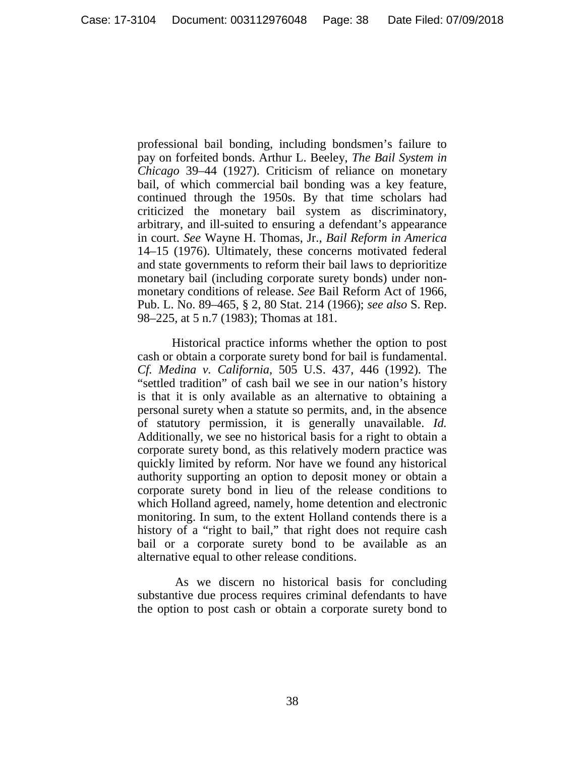professional bail bonding, including bondsmen's failure to pay on forfeited bonds. Arthur L. Beeley, *The Bail System in Chicago* 39–44 (1927). Criticism of reliance on monetary bail, of which commercial bail bonding was a key feature, continued through the 1950s. By that time scholars had criticized the monetary bail system as discriminatory, arbitrary, and ill-suited to ensuring a defendant's appearance in court. *See* Wayne H. Thomas, Jr., *Bail Reform in America* 14–15 (1976). Ultimately, these concerns motivated federal and state governments to reform their bail laws to deprioritize monetary bail (including corporate surety bonds) under nonmonetary conditions of release. *See* Bail Reform Act of 1966, Pub. L. No. 89–465, § 2, 80 Stat. 214 (1966); *see also* S. Rep. 98–225, at 5 n.7 (1983); Thomas at 181.

Historical practice informs whether the option to post cash or obtain a corporate surety bond for bail is fundamental. *Cf. Medina v. California*, 505 U.S. 437, 446 (1992). The "settled tradition" of cash bail we see in our nation's history is that it is only available as an alternative to obtaining a personal surety when a statute so permits, and, in the absence of statutory permission, it is generally unavailable. *Id.* Additionally, we see no historical basis for a right to obtain a corporate surety bond, as this relatively modern practice was quickly limited by reform. Nor have we found any historical authority supporting an option to deposit money or obtain a corporate surety bond in lieu of the release conditions to which Holland agreed, namely, home detention and electronic monitoring. In sum, to the extent Holland contends there is a history of a "right to bail," that right does not require cash bail or a corporate surety bond to be available as an alternative equal to other release conditions.

As we discern no historical basis for concluding substantive due process requires criminal defendants to have the option to post cash or obtain a corporate surety bond to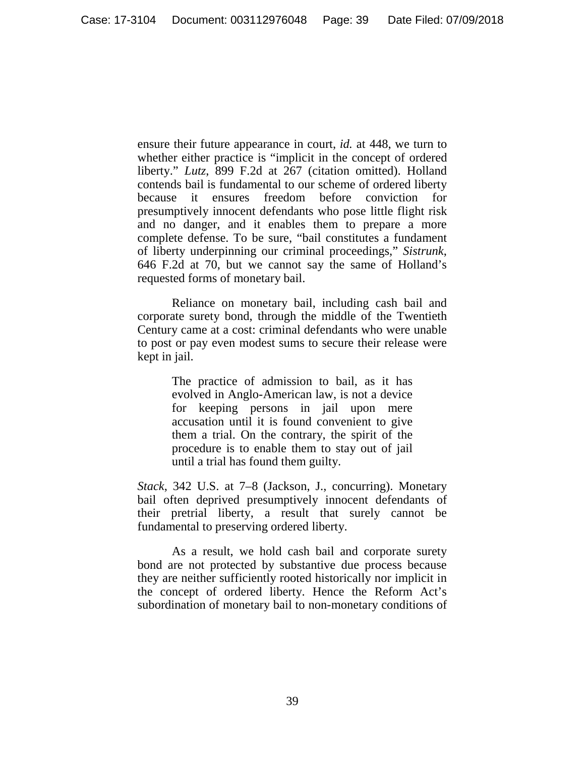ensure their future appearance in court, *id.* at 448, we turn to whether either practice is "implicit in the concept of ordered liberty." *Lutz*, 899 F.2d at 267 (citation omitted). Holland contends bail is fundamental to our scheme of ordered liberty because it ensures freedom before conviction for presumptively innocent defendants who pose little flight risk and no danger, and it enables them to prepare a more complete defense. To be sure, "bail constitutes a fundament of liberty underpinning our criminal proceedings," *Sistrunk*, 646 F.2d at 70, but we cannot say the same of Holland's requested forms of monetary bail.

Reliance on monetary bail, including cash bail and corporate surety bond, through the middle of the Twentieth Century came at a cost: criminal defendants who were unable to post or pay even modest sums to secure their release were kept in jail.

> The practice of admission to bail, as it has evolved in Anglo-American law, is not a device for keeping persons in jail upon mere accusation until it is found convenient to give them a trial. On the contrary, the spirit of the procedure is to enable them to stay out of jail until a trial has found them guilty.

*Stack*, 342 U.S. at 7–8 (Jackson, J., concurring). Monetary bail often deprived presumptively innocent defendants of their pretrial liberty, a result that surely cannot be fundamental to preserving ordered liberty.

As a result, we hold cash bail and corporate surety bond are not protected by substantive due process because they are neither sufficiently rooted historically nor implicit in the concept of ordered liberty. Hence the Reform Act's subordination of monetary bail to non-monetary conditions of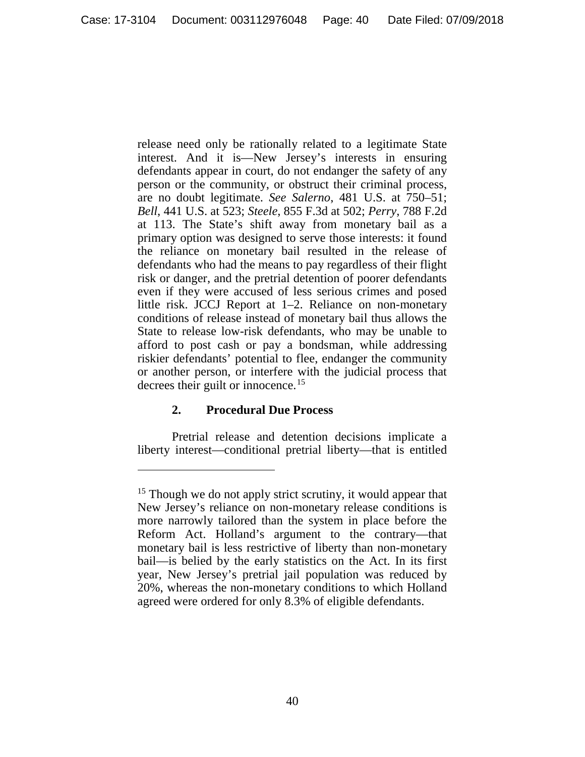release need only be rationally related to a legitimate State interest. And it is—New Jersey's interests in ensuring defendants appear in court, do not endanger the safety of any person or the community, or obstruct their criminal process, are no doubt legitimate. *See Salerno*, 481 U.S. at 750–51; *Bell*, 441 U.S. at 523; *Steele*, 855 F.3d at 502; *Perry*, 788 F.2d at 113. The State's shift away from monetary bail as a primary option was designed to serve those interests: it found the reliance on monetary bail resulted in the release of defendants who had the means to pay regardless of their flight risk or danger, and the pretrial detention of poorer defendants even if they were accused of less serious crimes and posed little risk. JCCJ Report at 1–2. Reliance on non-monetary conditions of release instead of monetary bail thus allows the State to release low-risk defendants, who may be unable to afford to post cash or pay a bondsman, while addressing riskier defendants' potential to flee, endanger the community or another person, or interfere with the judicial process that decrees their guilt or innocence. [15](#page-39-0)

# **2. Procedural Due Process**

 $\overline{a}$ 

Pretrial release and detention decisions implicate a liberty interest—conditional pretrial liberty—that is entitled

<span id="page-39-0"></span><sup>&</sup>lt;sup>15</sup> Though we do not apply strict scrutiny, it would appear that New Jersey's reliance on non-monetary release conditions is more narrowly tailored than the system in place before the Reform Act. Holland's argument to the contrary—that monetary bail is less restrictive of liberty than non-monetary bail—is belied by the early statistics on the Act. In its first year, New Jersey's pretrial jail population was reduced by 20%, whereas the non-monetary conditions to which Holland agreed were ordered for only 8.3% of eligible defendants.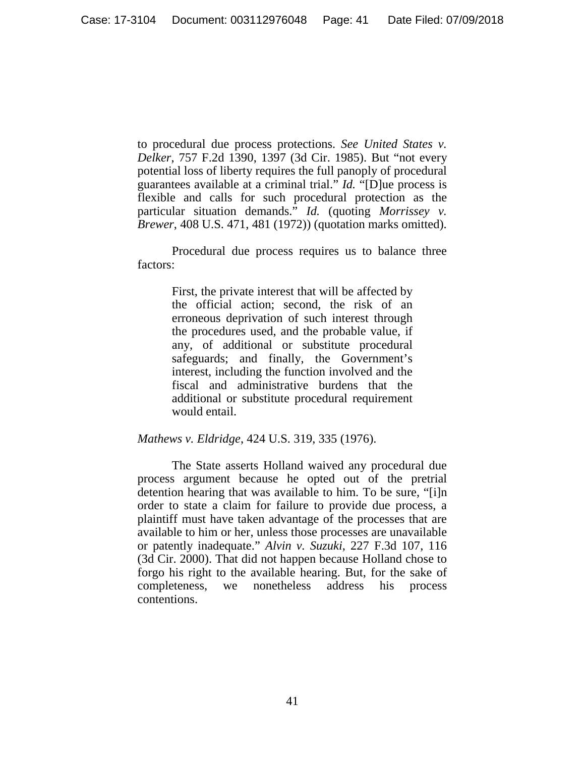to procedural due process protections. *See United States v. Delker*, 757 F.2d 1390, 1397 (3d Cir. 1985). But "not every potential loss of liberty requires the full panoply of procedural guarantees available at a criminal trial." *Id.* "[D]ue process is flexible and calls for such procedural protection as the particular situation demands." *Id.* (quoting *Morrissey v. Brewer*, 408 U.S. 471, 481 (1972)) (quotation marks omitted).

Procedural due process requires us to balance three factors:

> First, the private interest that will be affected by the official action; second, the risk of an erroneous deprivation of such interest through the procedures used, and the probable value, if any, of additional or substitute procedural safeguards; and finally, the Government's interest, including the function involved and the fiscal and administrative burdens that the additional or substitute procedural requirement would entail.

#### *Mathews v. Eldridge*, 424 U.S. 319, 335 (1976).

The State asserts Holland waived any procedural due process argument because he opted out of the pretrial detention hearing that was available to him. To be sure, "[i]n order to state a claim for failure to provide due process, a plaintiff must have taken advantage of the processes that are available to him or her, unless those processes are unavailable or patently inadequate." *Alvin v. Suzuki*, 227 F.3d 107, 116 (3d Cir. 2000). That did not happen because Holland chose to forgo his right to the available hearing. But, for the sake of completeness, we nonetheless address his process contentions.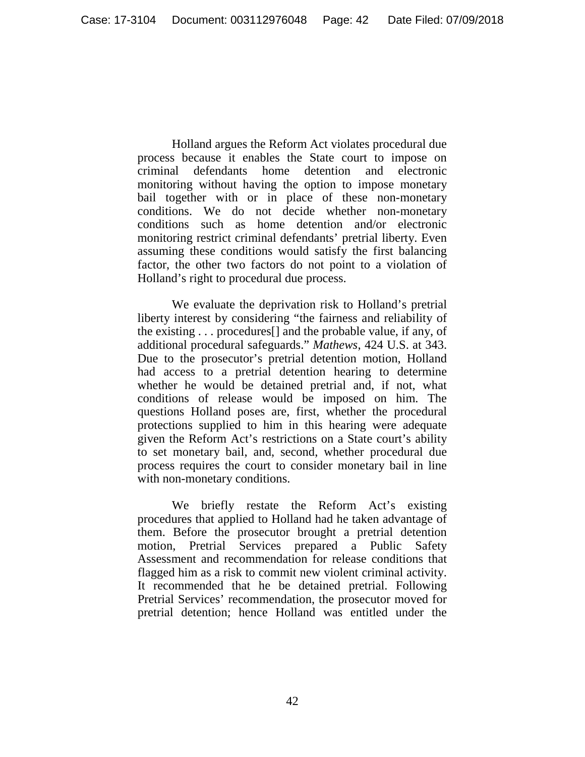Holland argues the Reform Act violates procedural due process because it enables the State court to impose on criminal defendants home detention and electronic monitoring without having the option to impose monetary bail together with or in place of these non-monetary conditions. We do not decide whether non-monetary conditions such as home detention and/or electronic monitoring restrict criminal defendants' pretrial liberty. Even assuming these conditions would satisfy the first balancing factor, the other two factors do not point to a violation of Holland's right to procedural due process.

We evaluate the deprivation risk to Holland's pretrial liberty interest by considering "the fairness and reliability of the existing . . . procedures[] and the probable value, if any, of additional procedural safeguards." *Mathews*, 424 U.S. at 343. Due to the prosecutor's pretrial detention motion, Holland had access to a pretrial detention hearing to determine whether he would be detained pretrial and, if not, what conditions of release would be imposed on him. The questions Holland poses are, first, whether the procedural protections supplied to him in this hearing were adequate given the Reform Act's restrictions on a State court's ability to set monetary bail, and, second, whether procedural due process requires the court to consider monetary bail in line with non-monetary conditions.

We briefly restate the Reform Act's existing procedures that applied to Holland had he taken advantage of them. Before the prosecutor brought a pretrial detention motion, Pretrial Services prepared a Public Safety Assessment and recommendation for release conditions that flagged him as a risk to commit new violent criminal activity. It recommended that he be detained pretrial. Following Pretrial Services' recommendation, the prosecutor moved for pretrial detention; hence Holland was entitled under the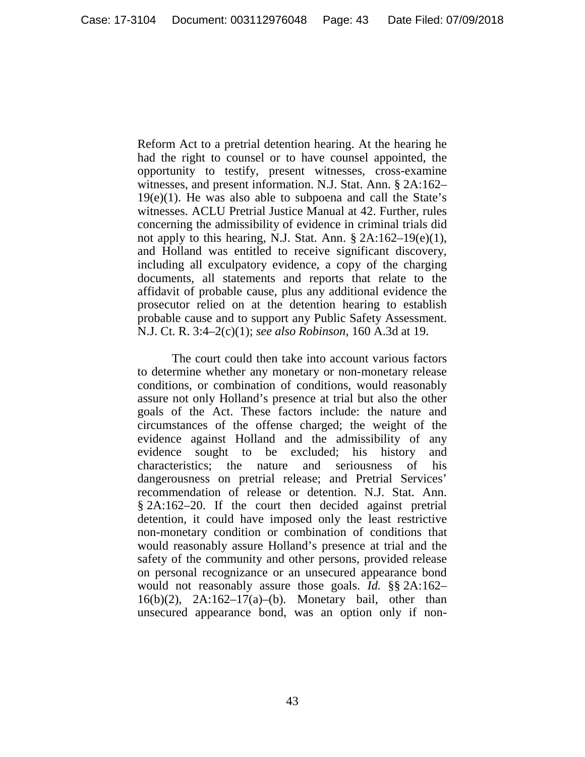Reform Act to a pretrial detention hearing. At the hearing he had the right to counsel or to have counsel appointed, the opportunity to testify, present witnesses, cross-examine witnesses, and present information. N.J. Stat. Ann. § 2A:162–  $19(e)(1)$ . He was also able to subpoena and call the State's witnesses. ACLU Pretrial Justice Manual at 42. Further, rules concerning the admissibility of evidence in criminal trials did not apply to this hearing, N.J. Stat. Ann.  $\S 2A:162-19(e)(1)$ , and Holland was entitled to receive significant discovery, including all exculpatory evidence, a copy of the charging documents, all statements and reports that relate to the affidavit of probable cause, plus any additional evidence the prosecutor relied on at the detention hearing to establish probable cause and to support any Public Safety Assessment. N.J. Ct. R. 3:4–2(c)(1); *see also Robinson*, 160 A.3d at 19.

The court could then take into account various factors to determine whether any monetary or non-monetary release conditions, or combination of conditions, would reasonably assure not only Holland's presence at trial but also the other goals of the Act. These factors include: the nature and circumstances of the offense charged; the weight of the evidence against Holland and the admissibility of any evidence sought to be excluded; his history and characteristics; the nature and seriousness of his dangerousness on pretrial release; and Pretrial Services' recommendation of release or detention. N.J. Stat. Ann. § 2A:162–20. If the court then decided against pretrial detention, it could have imposed only the least restrictive non-monetary condition or combination of conditions that would reasonably assure Holland's presence at trial and the safety of the community and other persons, provided release on personal recognizance or an unsecured appearance bond would not reasonably assure those goals. *Id.* §§ 2A:162– 16(b)(2), 2A:162–17(a)–(b). Monetary bail, other than unsecured appearance bond, was an option only if non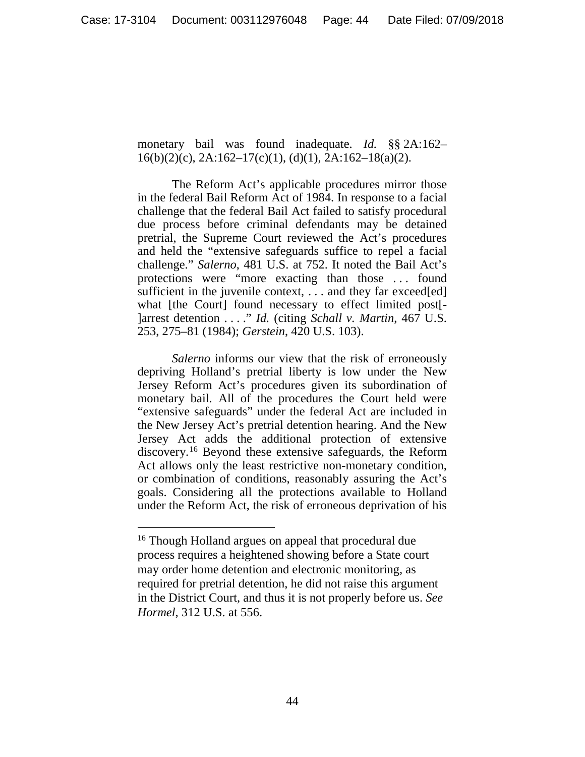monetary bail was found inadequate. *Id.* §§ 2A:162–  $16(b)(2)(c)$ ,  $2A:162-17(c)(1)$ ,  $(d)(1)$ ,  $2A:162-18(a)(2)$ .

The Reform Act's applicable procedures mirror those in the federal Bail Reform Act of 1984. In response to a facial challenge that the federal Bail Act failed to satisfy procedural due process before criminal defendants may be detained pretrial, the Supreme Court reviewed the Act's procedures and held the "extensive safeguards suffice to repel a facial challenge." *Salerno*, 481 U.S. at 752. It noted the Bail Act's protections were "more exacting than those . . . found sufficient in the juvenile context, ... and they far exceed[ed] what [the Court] found necessary to effect limited post[-]arrest detention . . . ." *Id.* (citing *Schall v. Martin*, 467 U.S. 253, 275–81 (1984); *Gerstein*, 420 U.S. 103).

*Salerno* informs our view that the risk of erroneously depriving Holland's pretrial liberty is low under the New Jersey Reform Act's procedures given its subordination of monetary bail. All of the procedures the Court held were "extensive safeguards" under the federal Act are included in the New Jersey Act's pretrial detention hearing. And the New Jersey Act adds the additional protection of extensive discovery.[16](#page-43-0) Beyond these extensive safeguards, the Reform Act allows only the least restrictive non-monetary condition, or combination of conditions, reasonably assuring the Act's goals. Considering all the protections available to Holland under the Reform Act, the risk of erroneous deprivation of his

<span id="page-43-0"></span><sup>&</sup>lt;sup>16</sup> Though Holland argues on appeal that procedural due process requires a heightened showing before a State court may order home detention and electronic monitoring, as required for pretrial detention, he did not raise this argument in the District Court, and thus it is not properly before us. *See Hormel*, 312 U.S. at 556.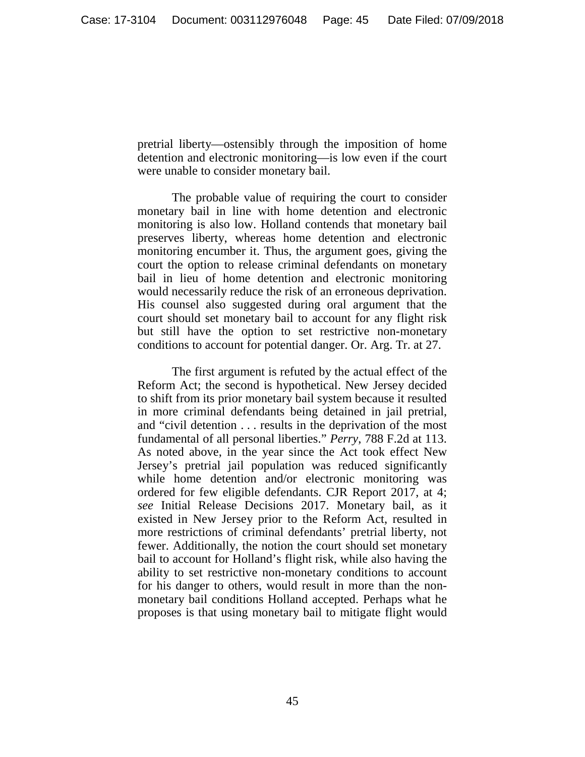pretrial liberty—ostensibly through the imposition of home detention and electronic monitoring—is low even if the court were unable to consider monetary bail.

The probable value of requiring the court to consider monetary bail in line with home detention and electronic monitoring is also low. Holland contends that monetary bail preserves liberty, whereas home detention and electronic monitoring encumber it. Thus, the argument goes, giving the court the option to release criminal defendants on monetary bail in lieu of home detention and electronic monitoring would necessarily reduce the risk of an erroneous deprivation. His counsel also suggested during oral argument that the court should set monetary bail to account for any flight risk but still have the option to set restrictive non-monetary conditions to account for potential danger. Or. Arg. Tr. at 27.

The first argument is refuted by the actual effect of the Reform Act; the second is hypothetical. New Jersey decided to shift from its prior monetary bail system because it resulted in more criminal defendants being detained in jail pretrial, and "civil detention . . . results in the deprivation of the most fundamental of all personal liberties." *Perry*, 788 F.2d at 113. As noted above, in the year since the Act took effect New Jersey's pretrial jail population was reduced significantly while home detention and/or electronic monitoring was ordered for few eligible defendants. CJR Report 2017, at 4; *see* Initial Release Decisions 2017. Monetary bail, as it existed in New Jersey prior to the Reform Act, resulted in more restrictions of criminal defendants' pretrial liberty, not fewer. Additionally, the notion the court should set monetary bail to account for Holland's flight risk, while also having the ability to set restrictive non-monetary conditions to account for his danger to others, would result in more than the nonmonetary bail conditions Holland accepted. Perhaps what he proposes is that using monetary bail to mitigate flight would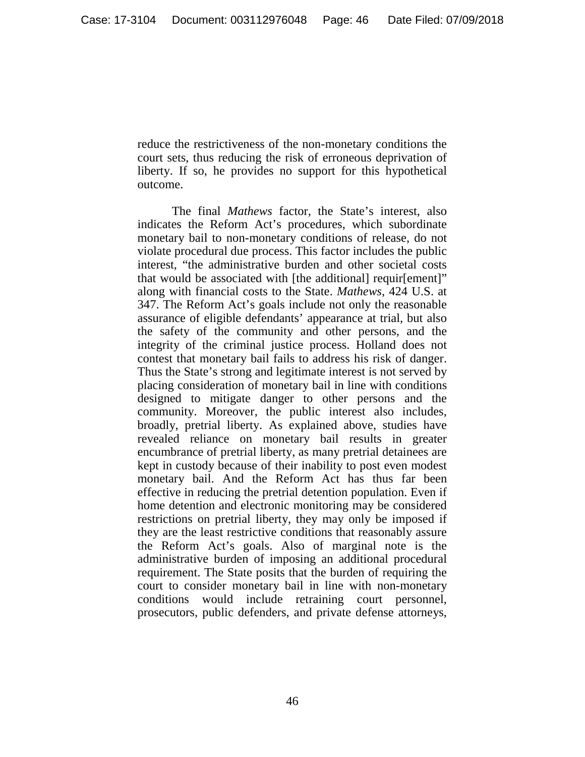reduce the restrictiveness of the non-monetary conditions the court sets, thus reducing the risk of erroneous deprivation of liberty. If so, he provides no support for this hypothetical outcome.

The final *Mathews* factor, the State's interest, also indicates the Reform Act's procedures, which subordinate monetary bail to non-monetary conditions of release, do not violate procedural due process. This factor includes the public interest, "the administrative burden and other societal costs that would be associated with [the additional] requir[ement]" along with financial costs to the State. *Mathews*, 424 U.S. at 347. The Reform Act's goals include not only the reasonable assurance of eligible defendants' appearance at trial, but also the safety of the community and other persons, and the integrity of the criminal justice process. Holland does not contest that monetary bail fails to address his risk of danger. Thus the State's strong and legitimate interest is not served by placing consideration of monetary bail in line with conditions designed to mitigate danger to other persons and the community. Moreover, the public interest also includes, broadly, pretrial liberty. As explained above, studies have revealed reliance on monetary bail results in greater encumbrance of pretrial liberty, as many pretrial detainees are kept in custody because of their inability to post even modest monetary bail. And the Reform Act has thus far been effective in reducing the pretrial detention population. Even if home detention and electronic monitoring may be considered restrictions on pretrial liberty, they may only be imposed if they are the least restrictive conditions that reasonably assure the Reform Act's goals. Also of marginal note is the administrative burden of imposing an additional procedural requirement. The State posits that the burden of requiring the court to consider monetary bail in line with non-monetary conditions would include retraining court personnel, prosecutors, public defenders, and private defense attorneys,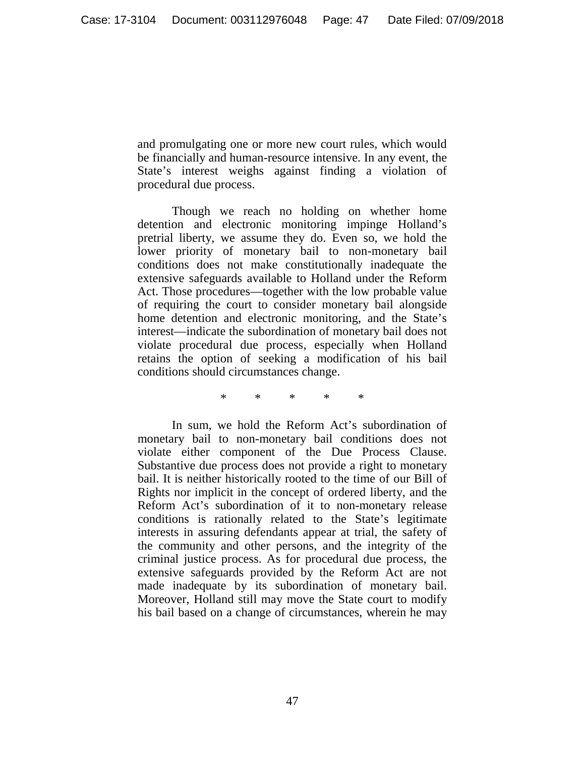and promulgating one or more new court rules, which would be financially and human-resource intensive. In any event, the State's interest weighs against finding a violation of procedural due process.

Though we reach no holding on whether home detention and electronic monitoring impinge Holland's pretrial liberty, we assume they do. Even so, we hold the lower priority of monetary bail to non-monetary bail conditions does not make constitutionally inadequate the extensive safeguards available to Holland under the Reform Act. Those procedures—together with the low probable value of requiring the court to consider monetary bail alongside home detention and electronic monitoring, and the State's interest—indicate the subordination of monetary bail does not violate procedural due process, especially when Holland retains the option of seeking a modification of his bail conditions should circumstances change.

\* \* \* \* \*

In sum, we hold the Reform Act's subordination of monetary bail to non-monetary bail conditions does not violate either component of the Due Process Clause. Substantive due process does not provide a right to monetary bail. It is neither historically rooted to the time of our Bill of Rights nor implicit in the concept of ordered liberty, and the Reform Act's subordination of it to non-monetary release conditions is rationally related to the State's legitimate interests in assuring defendants appear at trial, the safety of the community and other persons, and the integrity of the criminal justice process. As for procedural due process, the extensive safeguards provided by the Reform Act are not made inadequate by its subordination of monetary bail. Moreover, Holland still may move the State court to modify his bail based on a change of circumstances, wherein he may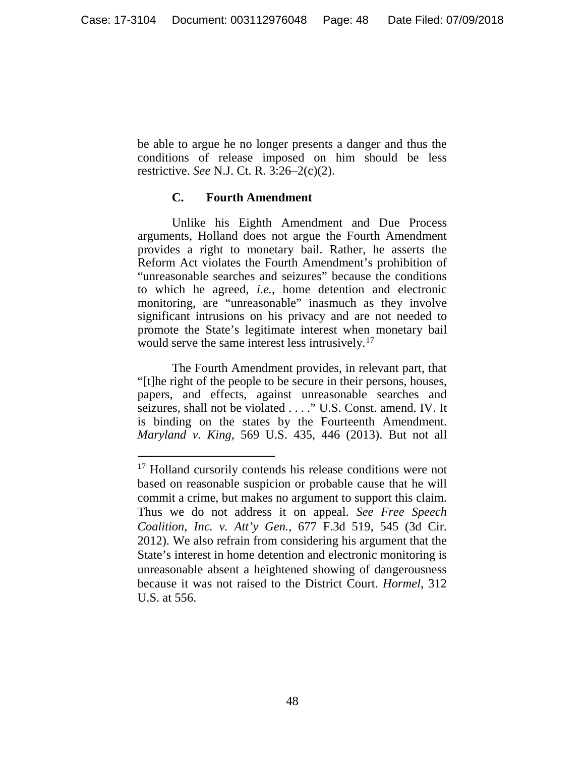be able to argue he no longer presents a danger and thus the conditions of release imposed on him should be less restrictive. *See* N.J. Ct. R. 3:26–2(c)(2).

## **C. Fourth Amendment**

Unlike his Eighth Amendment and Due Process arguments, Holland does not argue the Fourth Amendment provides a right to monetary bail. Rather, he asserts the Reform Act violates the Fourth Amendment's prohibition of "unreasonable searches and seizures" because the conditions to which he agreed, *i.e.*, home detention and electronic monitoring, are "unreasonable" inasmuch as they involve significant intrusions on his privacy and are not needed to promote the State's legitimate interest when monetary bail would serve the same interest less intrusively.<sup>[17](#page-47-0)</sup>

The Fourth Amendment provides, in relevant part, that "[t]he right of the people to be secure in their persons, houses, papers, and effects, against unreasonable searches and seizures, shall not be violated . . . ." U.S. Const. amend. IV. It is binding on the states by the Fourteenth Amendment. *Maryland v. King*, 569 U.S. 435, 446 (2013). But not all

<span id="page-47-0"></span><sup>&</sup>lt;sup>17</sup> Holland cursorily contends his release conditions were not based on reasonable suspicion or probable cause that he will commit a crime, but makes no argument to support this claim. Thus we do not address it on appeal. *See Free Speech Coalition, Inc. v. Att'y Gen.*, 677 F.3d 519, 545 (3d Cir. 2012). We also refrain from considering his argument that the State's interest in home detention and electronic monitoring is unreasonable absent a heightened showing of dangerousness because it was not raised to the District Court. *Hormel*, 312 U.S. at 556.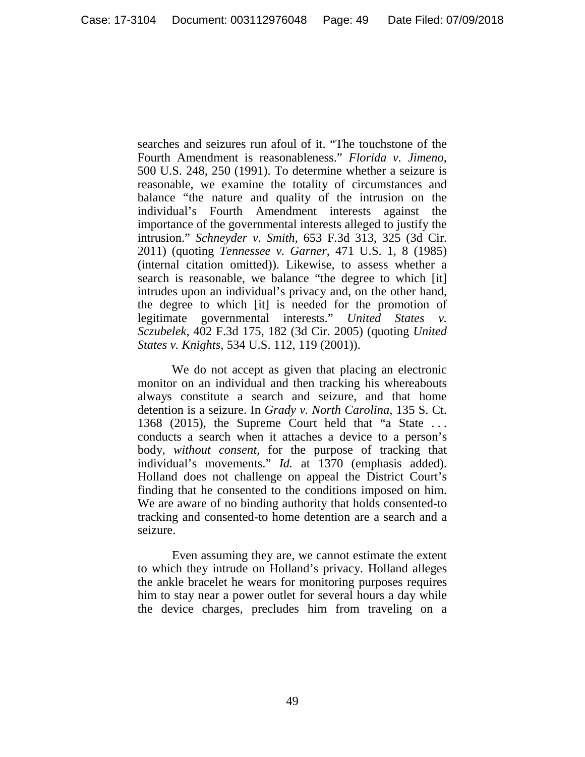searches and seizures run afoul of it. "The touchstone of the Fourth Amendment is reasonableness." *Florida v. Jimeno*, 500 U.S. 248, 250 (1991). To determine whether a seizure is reasonable, we examine the totality of circumstances and balance "the nature and quality of the intrusion on the individual's Fourth Amendment interests against the importance of the governmental interests alleged to justify the intrusion." *Schneyder v. Smith*, 653 F.3d 313, 325 (3d Cir. 2011) (quoting *Tennessee v. Garner*, 471 U.S. 1, 8 (1985) (internal citation omitted)). Likewise, to assess whether a search is reasonable, we balance "the degree to which [it] intrudes upon an individual's privacy and, on the other hand, the degree to which [it] is needed for the promotion of legitimate governmental interests." *United States v. Sczubelek*, 402 F.3d 175, 182 (3d Cir. 2005) (quoting *United States v. Knights*, 534 U.S. 112, 119 (2001)).

We do not accept as given that placing an electronic monitor on an individual and then tracking his whereabouts always constitute a search and seizure, and that home detention is a seizure. In *Grady v. North Carolina*, 135 S. Ct. 1368 (2015), the Supreme Court held that "a State . . . conducts a search when it attaches a device to a person's body, *without consent*, for the purpose of tracking that individual's movements." *Id.* at 1370 (emphasis added). Holland does not challenge on appeal the District Court's finding that he consented to the conditions imposed on him. We are aware of no binding authority that holds consented-to tracking and consented-to home detention are a search and a seizure.

Even assuming they are, we cannot estimate the extent to which they intrude on Holland's privacy. Holland alleges the ankle bracelet he wears for monitoring purposes requires him to stay near a power outlet for several hours a day while the device charges, precludes him from traveling on a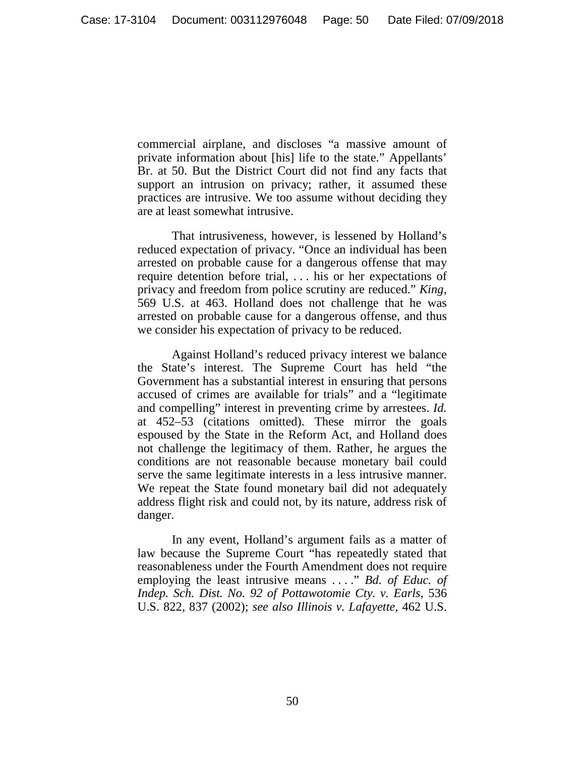commercial airplane, and discloses "a massive amount of private information about [his] life to the state." Appellants' Br. at 50. But the District Court did not find any facts that support an intrusion on privacy; rather, it assumed these practices are intrusive. We too assume without deciding they are at least somewhat intrusive.

That intrusiveness, however, is lessened by Holland's reduced expectation of privacy. "Once an individual has been arrested on probable cause for a dangerous offense that may require detention before trial, . . . his or her expectations of privacy and freedom from police scrutiny are reduced." *King*, 569 U.S. at 463. Holland does not challenge that he was arrested on probable cause for a dangerous offense, and thus we consider his expectation of privacy to be reduced.

Against Holland's reduced privacy interest we balance the State's interest. The Supreme Court has held "the Government has a substantial interest in ensuring that persons accused of crimes are available for trials" and a "legitimate and compelling" interest in preventing crime by arrestees. *Id.*  at 452–53 (citations omitted). These mirror the goals espoused by the State in the Reform Act, and Holland does not challenge the legitimacy of them. Rather, he argues the conditions are not reasonable because monetary bail could serve the same legitimate interests in a less intrusive manner. We repeat the State found monetary bail did not adequately address flight risk and could not, by its nature, address risk of danger.

In any event, Holland's argument fails as a matter of law because the Supreme Court "has repeatedly stated that reasonableness under the Fourth Amendment does not require employing the least intrusive means . . . ." *Bd. of Educ. of Indep. Sch. Dist. No. 92 of Pottawotomie Cty. v. Earls*, 536 U.S. 822, 837 (2002); *see also Illinois v. Lafayette*, 462 U.S.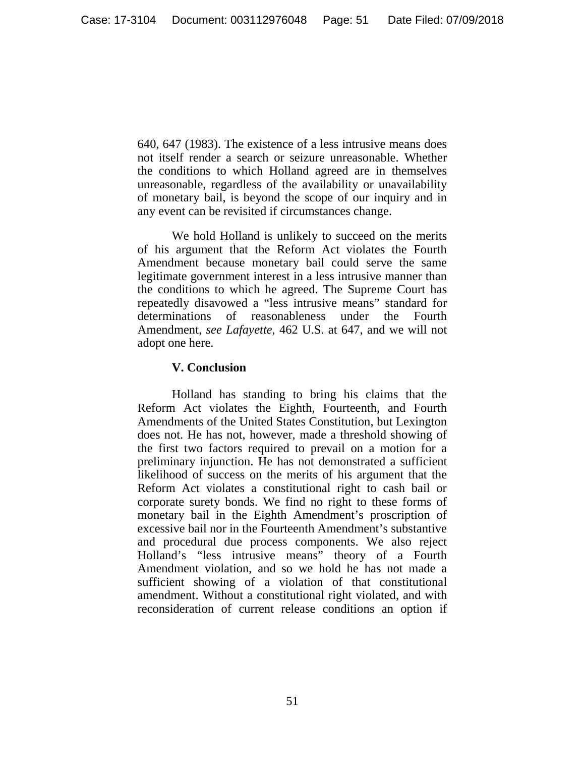640, 647 (1983). The existence of a less intrusive means does not itself render a search or seizure unreasonable. Whether the conditions to which Holland agreed are in themselves unreasonable, regardless of the availability or unavailability of monetary bail, is beyond the scope of our inquiry and in any event can be revisited if circumstances change.

We hold Holland is unlikely to succeed on the merits of his argument that the Reform Act violates the Fourth Amendment because monetary bail could serve the same legitimate government interest in a less intrusive manner than the conditions to which he agreed. The Supreme Court has repeatedly disavowed a "less intrusive means" standard for determinations of reasonableness under the Fourth Amendment, *see Lafayette*, 462 U.S. at 647, and we will not adopt one here.

## **V. Conclusion**

Holland has standing to bring his claims that the Reform Act violates the Eighth, Fourteenth, and Fourth Amendments of the United States Constitution, but Lexington does not. He has not, however, made a threshold showing of the first two factors required to prevail on a motion for a preliminary injunction. He has not demonstrated a sufficient likelihood of success on the merits of his argument that the Reform Act violates a constitutional right to cash bail or corporate surety bonds. We find no right to these forms of monetary bail in the Eighth Amendment's proscription of excessive bail nor in the Fourteenth Amendment's substantive and procedural due process components. We also reject Holland's "less intrusive means" theory of a Fourth Amendment violation, and so we hold he has not made a sufficient showing of a violation of that constitutional amendment. Without a constitutional right violated, and with reconsideration of current release conditions an option if